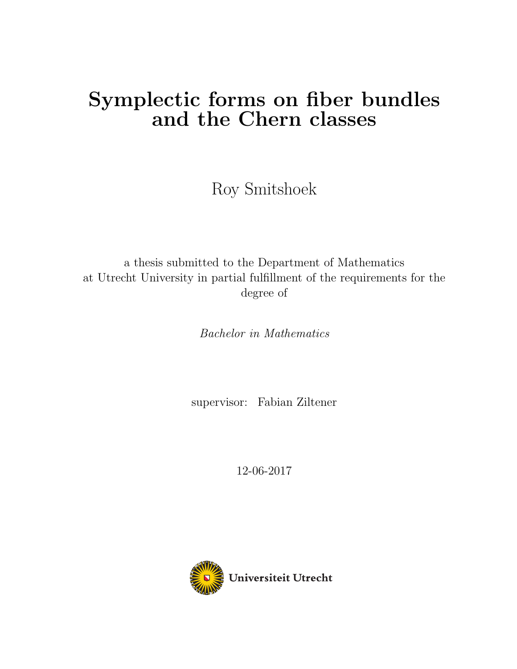# Symplectic forms on fiber bundles and the Chern classes

Roy Smitshoek

a thesis submitted to the Department of Mathematics at Utrecht University in partial fulfillment of the requirements for the degree of

Bachelor in Mathematics

supervisor: Fabian Ziltener

12-06-2017

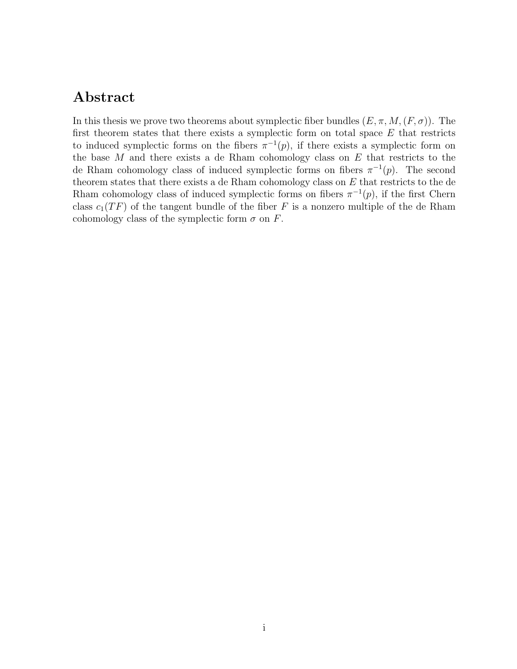## Abstract

In this thesis we prove two theorems about symplectic fiber bundles  $(E, \pi, M, (F, \sigma))$ . The first theorem states that there exists a symplectic form on total space  $E$  that restricts to induced symplectic forms on the fibers  $\pi^{-1}(p)$ , if there exists a symplectic form on the base  $M$  and there exists a de Rham cohomology class on  $E$  that restricts to the de Rham cohomology class of induced symplectic forms on fibers  $\pi^{-1}(p)$ . The second theorem states that there exists a de Rham cohomology class on  $E$  that restricts to the de Rham cohomology class of induced symplectic forms on fibers  $\pi^{-1}(p)$ , if the first Chern class  $c_1(TF)$  of the tangent bundle of the fiber F is a nonzero multiple of the de Rham cohomology class of the symplectic form  $\sigma$  on F.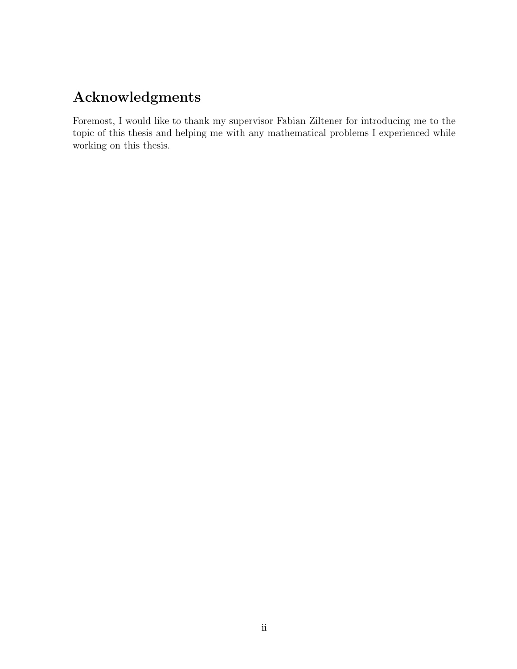## Acknowledgments

Foremost, I would like to thank my supervisor Fabian Ziltener for introducing me to the topic of this thesis and helping me with any mathematical problems I experienced while working on this thesis.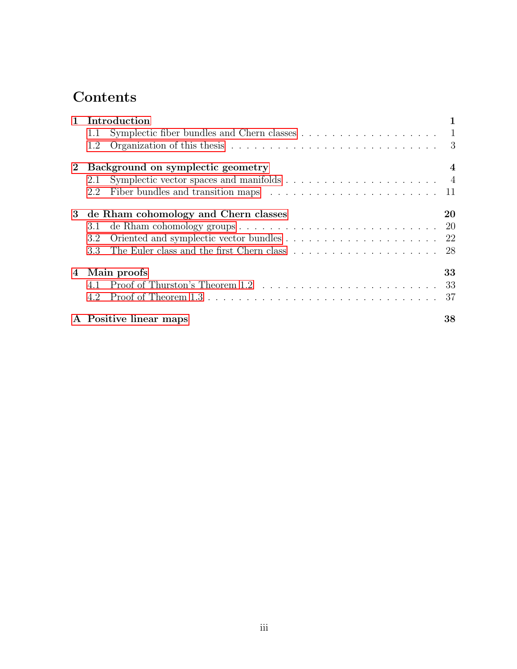## Contents

| $\mathbf{1}$ | Introduction                                                                                          |     |
|--------------|-------------------------------------------------------------------------------------------------------|-----|
|              | Symplectic fiber bundles and Chern classes $\dots \dots \dots \dots \dots \dots \dots \dots$<br>1.1   |     |
|              | 1.2                                                                                                   |     |
| $\mathbf{2}$ | Background on symplectic geometry                                                                     | 4   |
|              | Symplectic vector spaces and manifolds $\dots \dots \dots \dots \dots \dots \dots$<br>2.1             |     |
|              | Fiber bundles and transition maps $\ldots \ldots \ldots \ldots \ldots \ldots \ldots \ldots 11$<br>2.2 |     |
| 3            | de Rham cohomology and Chern classes                                                                  | 20  |
|              | de Rham cohomology groups $\ldots \ldots \ldots \ldots \ldots \ldots \ldots \ldots \ldots 20$<br>3.1  |     |
|              | 3.2                                                                                                   |     |
|              | 3.3                                                                                                   | -28 |
| 4            | Main proofs                                                                                           | 33  |
|              | 4.1                                                                                                   |     |
|              | Proof of Theorem $1.3 \ldots \ldots \ldots \ldots \ldots \ldots \ldots \ldots \ldots \ldots$<br>4.2   | 37  |
|              | A Positive linear maps                                                                                | 38  |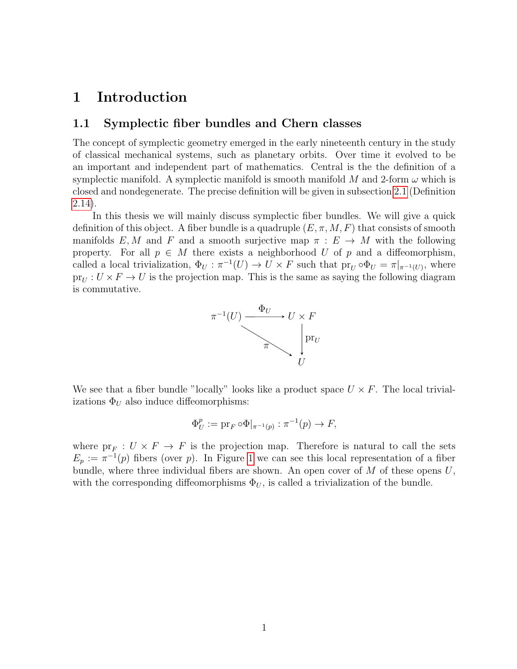## <span id="page-4-0"></span>1 Introduction

#### <span id="page-4-1"></span>1.1 Symplectic fiber bundles and Chern classes

The concept of symplectic geometry emerged in the early nineteenth century in the study of classical mechanical systems, such as planetary orbits. Over time it evolved to be an important and independent part of mathematics. Central is the the definition of a symplectic manifold. A symplectic manifold is smooth manifold M and 2-form  $\omega$  which is closed and nondegenerate. The precise definition will be given in subsection [2.1](#page-7-1) (Definition [2.14\)](#page-13-0).

In this thesis we will mainly discuss symplectic fiber bundles. We will give a quick definition of this object. A fiber bundle is a quadruple  $(E, \pi, M, F)$  that consists of smooth manifolds E, M and F and a smooth surjective map  $\pi : E \to M$  with the following property. For all  $p \in M$  there exists a neighborhood U of p and a diffeomorphism, called a local trivialization,  $\Phi_U : \pi^{-1}(U) \to U \times F$  such that  $pr_U \circ \Phi_U = \pi|_{\pi^{-1}(U)}$ , where  $pr_U : U \times F \to U$  is the projection map. This is the same as saying the following diagram is commutative.



We see that a fiber bundle "locally" looks like a product space  $U \times F$ . The local trivializations  $\Phi_U$  also induce diffeomorphisms:

$$
\Phi_U^p := \mathrm{pr}_F \circ \Phi|_{\pi^{-1}(p)} : \pi^{-1}(p) \to F,
$$

where  $pr_F: U \times F \to F$  is the projection map. Therefore is natural to call the sets  $E_p := \pi^{-1}(p)$  fibers (over p). In Figure [1](#page-5-0) we can see this local representation of a fiber bundle, where three individual fibers are shown. An open cover of  $M$  of these opens  $U$ , with the corresponding diffeomorphisms  $\Phi_U$ , is called a trivialization of the bundle.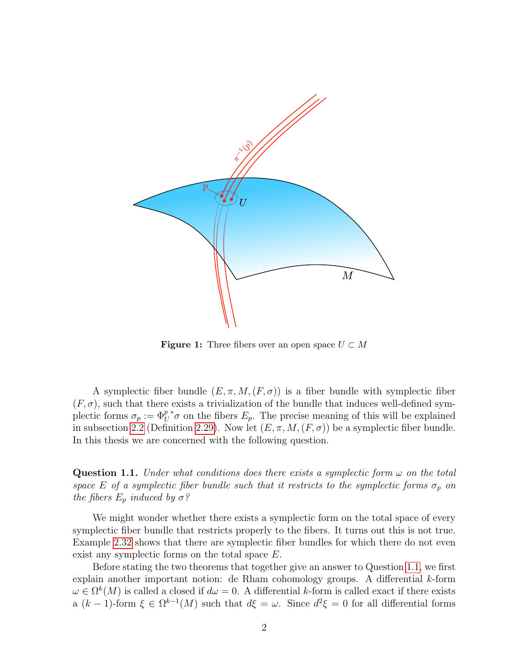<span id="page-5-0"></span>

**Figure 1:** Three fibers over an open space  $U \subset M$ 

A symplectic fiber bundle  $(E, \pi, M, (F, \sigma))$  is a fiber bundle with symplectic fiber  $(F, \sigma)$ , such that there exists a trivialization of the bundle that induces well-defined symplectic forms  $\sigma_p := \Phi_U^p$  $*\sigma$  on the fibers  $E_p$ . The precise meaning of this will be explained in subsection [2.2](#page-14-0) (Definition [2.29\)](#page-19-0). Now let  $(E, \pi, M, (F, \sigma))$  be a symplectic fiber bundle. In this thesis we are concerned with the following question.

<span id="page-5-1"></span>Question 1.1. Under what conditions does there exists a symplectic form  $\omega$  on the total space E of a symplectic fiber bundle such that it restricts to the symplectic forms  $\sigma_p$  on the fibers  $E_p$  induced by  $\sigma$ ?

We might wonder whether there exists a symplectic form on the total space of every symplectic fiber bundle that restricts properly to the fibers. It turns out this is not true. Example [2.32](#page-20-0) shows that there are symplectic fiber bundles for which there do not even exist any symplectic forms on the total space E.

Before stating the two theorems that together give an answer to Question [1.1,](#page-5-1) we first explain another important notion: de Rham cohomology groups. A differential k-form  $\omega \in \Omega^k(M)$  is called a closed if  $d\omega = 0$ . A differential k-form is called exact if there exists a  $(k-1)$ -form  $\xi \in \Omega^{k-1}(M)$  such that  $d\xi = \omega$ . Since  $d^2\xi = 0$  for all differential forms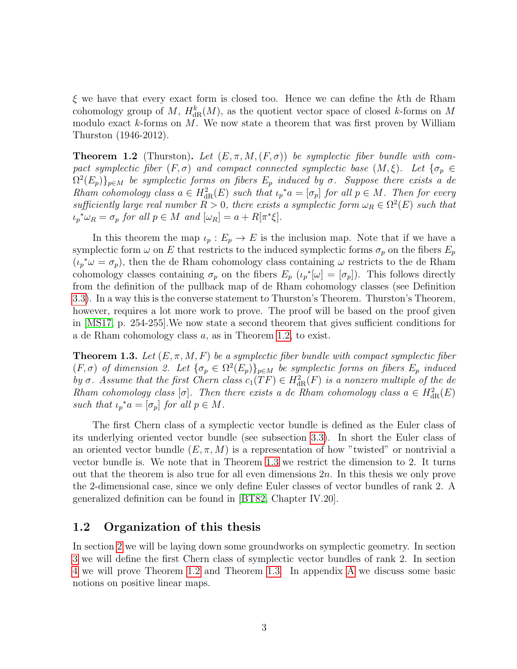$\xi$  we have that every exact form is closed too. Hence we can define the kth de Rham cohomology group of M,  $H_{\text{dR}}^k(M)$ , as the quotient vector space of closed k-forms on M modulo exact  $k$ -forms on M. We now state a theorem that was first proven by William Thurston (1946-2012).

<span id="page-6-1"></span>**Theorem 1.2** (Thurston). Let  $(E, \pi, M, (F, \sigma))$  be symplectic fiber bundle with compact symplectic fiber  $(F, \sigma)$  and compact connected symplectic base  $(M, \xi)$ . Let  $\{\sigma_p \in$  $\Omega^2(E_p)\}_{p\in M}$  be symplectic forms on fibers  $E_p$  induced by  $\sigma$ . Suppose there exists a de Rham cohomology class  $a \in H^2_{\text{dR}}(E)$  such that  $\iota_p^* a = [\sigma_p]$  for all  $p \in M$ . Then for every sufficiently large real number  $R > 0$ , there exists a symplectic form  $\omega_R \in \Omega^2(E)$  such that  $\iota_p^* \omega_R = \sigma_p$  for all  $p \in M$  and  $[\omega_R] = a + R[\pi^* \xi].$ 

In this theorem the map  $\iota_p : E_p \to E$  is the inclusion map. Note that if we have a symplectic form  $\omega$  on E that restricts to the induced symplectic forms  $\sigma_p$  on the fibers  $E_p$  $(\iota_p^* \omega = \sigma_p)$ , then the de Rham cohomology class containing  $\omega$  restricts to the de Rham cohomology classes containing  $\sigma_p$  on the fibers  $E_p(\iota_p^*[\omega] = [\sigma_p])$ . This follows directly from the definition of the pullback map of de Rham cohomology classes (see Definition [3.3\)](#page-24-0). In a way this is the converse statement to Thurston's Theorem. Thurston's Theorem, however, requires a lot more work to prove. The proof will be based on the proof given in [\[MS17,](#page-43-0) p. 254-255].We now state a second theorem that gives sufficient conditions for a de Rham cohomology class a, as in Theorem [1.2,](#page-6-1) to exist.

<span id="page-6-2"></span>**Theorem 1.3.** Let  $(E, \pi, M, F)$  be a symplectic fiber bundle with compact symplectic fiber  $(F, \sigma)$  of dimension 2. Let  $\{\sigma_p \in \Omega^2(E_p)\}_{p \in M}$  be symplectic forms on fibers  $E_p$  induced by  $\sigma$ . Assume that the first Chern class  $c_1(TF) \in H^2_{\text{dR}}(F)$  is a nonzero multiple of the de Rham cohomology class [ $\sigma$ ]. Then there exists a de Rham cohomology class  $a \in H^2_{\text{dR}}(E)$ such that  $\iota_p^* a = [\sigma_p]$  for all  $p \in M$ .

The first Chern class of a symplectic vector bundle is defined as the Euler class of its underlying oriented vector bundle (see subsection [3.3\)](#page-31-0). In short the Euler class of an oriented vector bundle  $(E, \pi, M)$  is a representation of how "twisted" or nontrivial a vector bundle is. We note that in Theorem [1.3](#page-6-2) we restrict the dimension to 2. It turns out that the theorem is also true for all even dimensions  $2n$ . In this thesis we only prove the 2-dimensional case, since we only define Euler classes of vector bundles of rank 2. A generalized definition can be found in [\[BT82,](#page-43-1) Chapter IV.20].

#### <span id="page-6-0"></span>1.2 Organization of this thesis

In section [2](#page-7-0) we will be laying down some groundworks on symplectic geometry. In section [3](#page-23-0) we will define the first Chern class of symplectic vector bundles of rank 2. In section [4](#page-36-0) we will prove Theorem [1.2](#page-6-1) and Theorem [1.3.](#page-6-2) In appendix [A](#page-41-0) we discuss some basic notions on positive linear maps.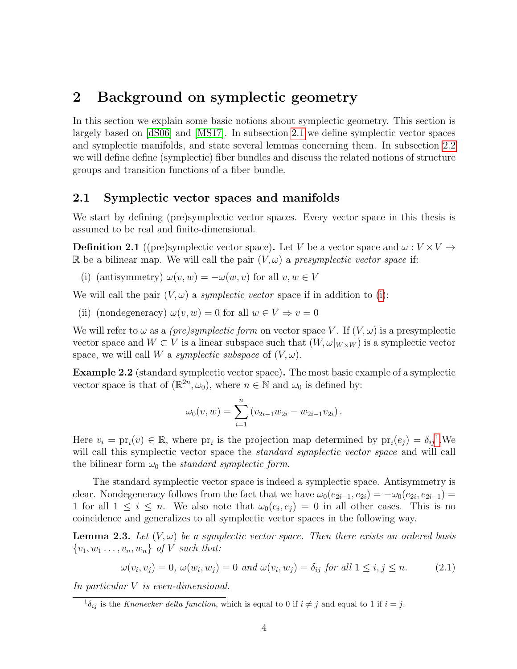## <span id="page-7-0"></span>2 Background on symplectic geometry

In this section we explain some basic notions about symplectic geometry. This section is largely based on [\[dS06\]](#page-43-2) and [\[MS17\]](#page-43-0). In subsection [2.1](#page-7-1) we define symplectic vector spaces and symplectic manifolds, and state several lemmas concerning them. In subsection [2.2](#page-14-0) we will define define (symplectic) fiber bundles and discuss the related notions of structure groups and transition functions of a fiber bundle.

### <span id="page-7-1"></span>2.1 Symplectic vector spaces and manifolds

We start by defining (pre)symplectic vector spaces. Every vector space in this thesis is assumed to be real and finite-dimensional.

**Definition 2.1** ((pre)symplectic vector space). Let V be a vector space and  $\omega : V \times V \rightarrow$ R be a bilinear map. We will call the pair  $(V, \omega)$  a presymplectic vector space if:

<span id="page-7-2"></span>(i) (antisymmetry)  $\omega(v, w) = -\omega(w, v)$  for all  $v, w \in V$ 

We will call the pair  $(V, \omega)$  a *symplectic vector* space if in addition to [\(i\)](#page-7-2):

(ii) (nondegeneracy)  $\omega(v, w) = 0$  for all  $w \in V \Rightarrow v = 0$ 

We will refer to  $\omega$  as a *(pre)symplectic form* on vector space V. If  $(V, \omega)$  is a presymplectic vector space and  $W \subset V$  is a linear subspace such that  $(W, \omega|_{W \times W})$  is a symplectic vector space, we will call W a symplectic subspace of  $(V, \omega)$ .

<span id="page-7-6"></span>Example 2.2 (standard symplectic vector space). The most basic example of a symplectic vector space is that of  $(\mathbb{R}^{2n}, \omega_0)$ , where  $n \in \mathbb{N}$  and  $\omega_0$  is defined by:

$$
\omega_0(v, w) = \sum_{i=1}^n (v_{2i-1}w_{2i} - w_{2i-1}v_{2i}).
$$

Here  $v_i = \text{pr}_i(v) \in \mathbb{R}$ , where  $\text{pr}_i$  is the projection map determined by  $\text{pr}_i(e_j) = \delta_{ij}^1$  $\text{pr}_i(e_j) = \delta_{ij}^1$ . We will call this symplectic vector space the *standard symplectic vector space* and will call the bilinear form  $\omega_0$  the *standard symplectic form*.

The standard symplectic vector space is indeed a symplectic space. Antisymmetry is clear. Nondegeneracy follows from the fact that we have  $\omega_0(e_{2i-1}, e_{2i}) = -\omega_0(e_{2i}, e_{2i-1}) =$ 1 for all  $1 \leq i \leq n$ . We also note that  $\omega_0(e_i, e_j) = 0$  in all other cases. This is no coincidence and generalizes to all symplectic vector spaces in the following way.

<span id="page-7-5"></span>**Lemma 2.3.** Let  $(V, \omega)$  be a symplectic vector space. Then there exists an ordered basis  $\{v_1, w_1 \ldots, v_n, w_n\}$  of V such that:

<span id="page-7-4"></span>
$$
\omega(v_i, v_j) = 0, \ \omega(w_i, w_j) = 0 \ \text{and} \ \omega(v_i, w_j) = \delta_{ij} \ \text{for all} \ 1 \leq i, j \leq n. \tag{2.1}
$$

In particular V is even-dimensional.

<span id="page-7-3"></span> ${}^{1}\delta_{ij}$  is the Knonecker delta function, which is equal to 0 if  $i \neq j$  and equal to 1 if  $i = j$ .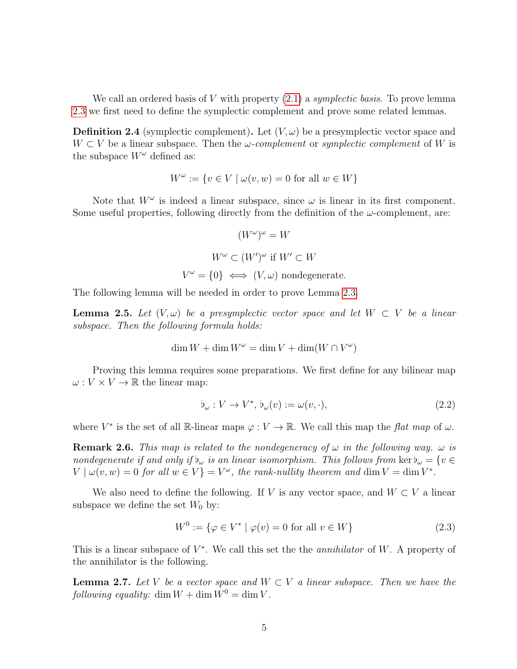We call an ordered basis of V with property  $(2.1)$  a symplectic basis. To prove lemma [2.3](#page-7-5) we first need to define the symplectic complement and prove some related lemmas.

**Definition 2.4** (symplectic complement). Let  $(V, \omega)$  be a presymplectic vector space and  $W \subset V$  be a linear subspace. Then the  $\omega$ -complement or symplectic complement of W is the subspace  $W^{\omega}$  defined as:

$$
W^{\omega} := \{ v \in V \mid \omega(v, w) = 0 \text{ for all } w \in W \}
$$

Note that  $W^{\omega}$  is indeed a linear subspace, since  $\omega$  is linear in its first component. Some useful properties, following directly from the definition of the  $\omega$ -complement, are:

$$
(W^{\omega})^{\omega} = W
$$
  

$$
W^{\omega} \subset (W')^{\omega} \text{ if } W' \subset W
$$
  

$$
V^{\omega} = \{0\} \iff (V, \omega) \text{ nondegenerate.}
$$

<span id="page-8-1"></span>The following lemma will be needed in order to prove Lemma [2.3.](#page-7-5)

**Lemma 2.5.** Let  $(V, \omega)$  be a presymplectic vector space and let  $W \subset V$  be a linear subspace. Then the following formula holds:

$$
\dim W + \dim W^{\omega} = \dim V + \dim(W \cap V^{\omega})
$$

Proving this lemma requires some preparations. We first define for any bilinear map  $\omega: V \times V \to \mathbb{R}$  the linear map:

$$
\flat_{\omega}: V \to V^*, \, \flat_{\omega}(v) := \omega(v, \cdot), \tag{2.2}
$$

<span id="page-8-2"></span>where  $V^*$  is the set of all R-linear maps  $\varphi: V \to \mathbb{R}$ . We call this map the flat map of  $\omega$ .

**Remark 2.6.** This map is related to the nondegeneracy of  $\omega$  in the following way.  $\omega$  is nondegenerate if and only if  $b_{\omega}$  is an linear isomorphism. This follows from ker $b_{\omega} = \{v \in$  $V | \omega(v, w) = 0$  for all  $w \in V$  =  $V^{\omega}$ , the rank-nullity theorem and dim  $V = \dim V^*$ .

We also need to define the following. If V is any vector space, and  $W \subset V$  a linear subspace we define the set  $W_0$  by:

$$
W^{0} := \{ \varphi \in V^* \mid \varphi(v) = 0 \text{ for all } v \in W \}
$$
\n
$$
(2.3)
$$

This is a linear subspace of  $V^*$ . We call this set the the *annihilator* of W. A property of the annihilator is the following.

<span id="page-8-0"></span>**Lemma 2.7.** Let V be a vector space and  $W \subset V$  a linear subspace. Then we have the following equality: dim  $W + \dim W^0 = \dim V$ .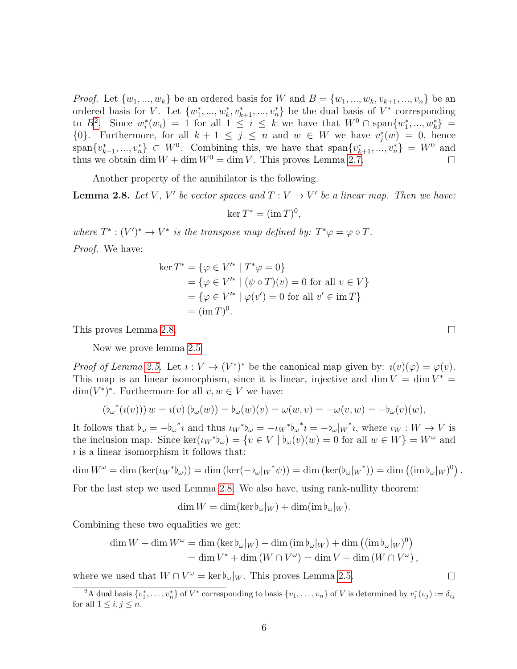*Proof.* Let  $\{w_1, ..., w_k\}$  be an ordered basis for W and  $B = \{w_1, ..., w_k, v_{k+1}, ..., v_n\}$  be an ordered basis for V. Let  $\{w_1^*,...,w_k^*,v_{k+1}^*,...,v_n^*\}$  be the dual basis of  $V^*$  corresponding to  $B^2$  $B^2$ . Since  $w_i^*(w_i) = 1$  for all  $1 \leq i \leq k$  we have that  $W^0 \cap \text{span}\{w_1^*,...,w_k^*\} =$  ${0}$ . Furthermore, for all  $k + 1 \leq j \leq n$  and  $w \in W$  we have  $v_j^*(w) = 0$ , hence  $span\{v_{k+1}^*,...,v_n^*\}\subset W^0$ . Combining this, we have that  $span\{v_{k+1}^*,...,v_n^*\}=W^0$  and thus we obtain dim  $W + \dim W^0 = \dim V$ . This proves Lemma [2.7.](#page-8-0)

Another property of the annihilator is the following.

<span id="page-9-1"></span>**Lemma 2.8.** Let V, V' be vector spaces and  $T: V \to V'$  be a linear map. Then we have:

 $\ker T^* = (\operatorname{im} T)^0,$ 

where  $T^* : (V')^* \to V^*$  is the transpose map defined by:  $T^*\varphi = \varphi \circ T$ . Proof. We have:

$$
\ker T^* = \{ \varphi \in V'^* \mid T^* \varphi = 0 \}
$$
  
=  $\{ \varphi \in V'^* \mid (\psi \circ T)(v) = 0 \text{ for all } v \in V \}$   
=  $\{ \varphi \in V'^* \mid \varphi(v') = 0 \text{ for all } v' \in \operatorname{im} T \}$   
=  $(\operatorname{im} T)^0$ .

This proves Lemma [2.8.](#page-9-1)

Now we prove lemma [2.5.](#page-8-1)

*Proof of Lemma [2.5.](#page-8-1)* Let  $i: V \to (V^*)^*$  be the canonical map given by:  $i(v)(\varphi) = \varphi(v)$ . This map is an linear isomorphism, since it is linear, injective and dim  $V = \dim V^* =$  $\dim(V^*)^*$ . Furthermore for all  $v, w \in V$  we have:

$$
(\mathfrak{b}_{\omega}^*(\iota(v))) w = \iota(v) (\mathfrak{b}_{\omega}(w)) = \mathfrak{b}_{\omega}(w)(v) = \omega(w, v) = -\omega(v, w) = -\mathfrak{b}_{\omega}(v)(w),
$$

It follows that  $b_{\omega} = -b_{\omega}^* i$  and thus  $\iota_W^* b_{\omega} = -\iota_W^* b_{\omega}^* i = -b_{\omega}|_W^* i$ , where  $\iota_W : W \to V$  is the inclusion map. Since  $\ker(\iota_W^*\mathfrak{b}_{\omega}) = \{v \in V \mid \mathfrak{b}_{\omega}(v)(w) = 0 \text{ for all } w \in W\} = W^{\omega}$  and  $\iota$  is a linear isomorphism it follows that:

$$
\dim W^{\omega} = \dim (\ker(\iota_W^* \mathfrak{b}_{\omega})) = \dim (\ker(-\mathfrak{b}_{\omega}|_W^* \psi)) = \dim (\ker(\mathfrak{b}_{\omega}|_W^*)) = \dim ((\mathrm{im} \mathfrak{b}_{\omega}|_W)^0).
$$

For the last step we used Lemma [2.8.](#page-9-1) We also have, using rank-nullity theorem:

 $\dim W = \dim(\ker \phi_\omega|_W) + \dim(\mathrm{im} \phi_\omega|_W).$ 

Combining these two equalities we get:

$$
\dim W + \dim W^{\omega} = \dim (\ker \flat_{\omega}|_W) + \dim (\mathrm{im} \flat_{\omega}|_W) + \dim ((\mathrm{im} \flat_{\omega}|_W)^0)
$$
  
= 
$$
\dim V^* + \dim (W \cap V^{\omega}) = \dim V + \dim (W \cap V^{\omega}),
$$

where we used that  $W \cap V^{\omega} = \ker b_{\omega}|_W$ . This proves Lemma [2.5.](#page-8-1)

 $\Box$ 

 $\Box$ 

<span id="page-9-0"></span><sup>&</sup>lt;sup>2</sup>A dual basis  $\{v_1^*,\ldots,v_n^*\}$  of  $V^*$  corresponding to basis  $\{v_1,\ldots,v_n\}$  of V is determined by  $v_i^*(v_j) := \delta_{ij}$ for all  $1 \leq i, j \leq n$ .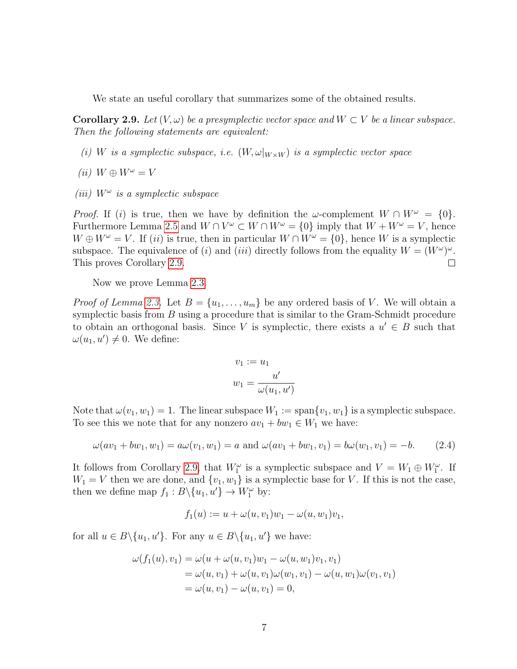We state an useful corollary that summarizes some of the obtained results.

<span id="page-10-0"></span>**Corollary 2.9.** Let  $(V, \omega)$  be a presymplectic vector space and  $W \subset V$  be a linear subspace. Then the following statements are equivalent:

- (i) W is a symplectic subspace, i.e.  $(W, \omega|_{W\times W})$  is a symplectic vector space
- (ii)  $W \oplus W^{\omega} = V$
- (iii)  $W^{\omega}$  is a symplectic subspace

*Proof.* If (i) is true, then we have by definition the  $\omega$ -complement  $W \cap W^{\omega} = \{0\}.$ Furthermore Lemma [2.5](#page-8-1) and  $W \cap V^{\omega} \subset W \cap W^{\omega} = \{0\}$  imply that  $W + W^{\omega} = V$ , hence  $W \oplus W^{\omega} = V$ . If (*ii*) is true, then in particular  $W \cap W^{\omega} = \{0\}$ , hence W is a symplectic subspace. The equivalence of (i) and (iii) directly follows from the equality  $W = (W^{\omega})^{\omega}$ . This proves Corollary [2.9.](#page-10-0)  $\Box$ 

Now we prove Lemma [2.3.](#page-7-5)

*Proof of Lemma [2.3.](#page-7-5)* Let  $B = \{u_1, \ldots, u_m\}$  be any ordered basis of V. We will obtain a symplectic basis from  $B$  using a procedure that is similar to the Gram-Schmidt procedure to obtain an orthogonal basis. Since V is symplectic, there exists a  $u' \in B$  such that  $\omega(u_1, u') \neq 0$ . We define:

$$
v_1 := u_1
$$
  

$$
w_1 = \frac{u'}{\omega(u_1, u')}
$$

Note that  $\omega(v_1, w_1) = 1$ . The linear subspace  $W_1 := \text{span}\{v_1, w_1\}$  is a symplectic subspace. To see this we note that for any nonzero  $av_1 + bw_1 \in W_1$  we have:

$$
\omega(av_1 + bw_1, w_1) = a\omega(v_1, w_1) = a \text{ and } \omega(av_1 + bw_1, v_1) = b\omega(w_1, v_1) = -b. \tag{2.4}
$$

It follows from Corollary [2.9,](#page-10-0) that  $W_1^{\omega}$  is a symplectic subspace and  $V = W_1 \oplus W_1^{\omega}$ . If  $W_1 = V$  then we are done, and  $\{v_1, w_1\}$  is a symplectic base for V. If this is not the case, then we define map  $f_1 : B \setminus \{u_1, u'\} \to W_1^{\omega}$  by:

$$
f_1(u) := u + \omega(u, v_1)w_1 - \omega(u, w_1)v_1,
$$

for all  $u \in B \setminus \{u_1, u'\}$ . For any  $u \in B \setminus \{u_1, u'\}$  we have:

$$
\omega(f_1(u), v_1) = \omega(u + \omega(u, v_1)w_1 - \omega(u, w_1)v_1, v_1)
$$
  
=  $\omega(u, v_1) + \omega(u, v_1)\omega(w_1, v_1) - \omega(u, w_1)\omega(v_1, v_1)$   
=  $\omega(u, v_1) - \omega(u, v_1) = 0$ ,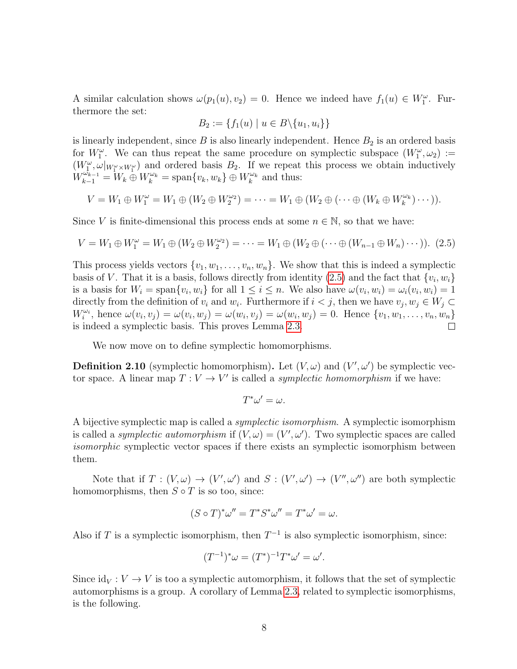A similar calculation shows  $\omega(p_1(u), v_2) = 0$ . Hence we indeed have  $f_1(u) \in W_1^{\omega}$ . Furthermore the set:

$$
B_2 := \{ f_1(u) \mid u \in B \setminus \{u_1, u_i\} \}
$$

is linearly independent, since  $B$  is also linearly independent. Hence  $B_2$  is an ordered basis for  $W_1^{\omega}$ . We can thus repeat the same procedure on symplectic subspace  $(W_1^{\omega}, \omega_2) :=$  $(W_1^{\omega}, \omega|_{W_1^{\omega} \times W_1^{\omega}})$  and ordered basis  $B_2$ . If we repeat this process we obtain inductively  $W_{k-1}^{\omega_{k-1}} = W_k \oplus W_k^{\omega_k} = \text{span}\{v_k, w_k\} \oplus W_k^{\omega_k}$  and thus:

$$
V = W_1 \oplus W_1^{\omega} = W_1 \oplus (W_2 \oplus W_2^{\omega_2}) = \cdots = W_1 \oplus (W_2 \oplus (\cdots \oplus (W_k \oplus W_k^{\omega_k}) \cdots)).
$$

Since V is finite-dimensional this process ends at some  $n \in \mathbb{N}$ , so that we have:

<span id="page-11-0"></span>
$$
V = W_1 \oplus W_1^{\omega} = W_1 \oplus (W_2 \oplus W_2^{\omega_2}) = \cdots = W_1 \oplus (W_2 \oplus (\cdots \oplus (W_{n-1} \oplus W_n) \cdots)).
$$
 (2.5)

This process yields vectors  $\{v_1, w_1, \ldots, v_n, w_n\}$ . We show that this is indeed a symplectic basis of V. That it is a basis, follows directly from identity [\(2.5\)](#page-11-0) and the fact that  $\{v_i, w_i\}$ is a basis for  $W_i = \text{span}\{v_i, w_i\}$  for all  $1 \leq i \leq n$ . We also have  $\omega(v_i, w_i) = \omega_i(v_i, w_i) = 1$ directly from the definition of  $v_i$  and  $w_i$ . Furthermore if  $i < j$ , then we have  $v_j, w_j \in W_j \subset$  $W_i^{\omega_i}$ , hence  $\omega(v_i, v_j) = \omega(v_i, w_j) = \omega(w_i, v_j) = \omega(w_i, w_j) = 0$ . Hence  $\{v_1, w_1, \ldots, v_n, w_n\}$ is indeed a symplectic basis. This proves Lemma [2.3.](#page-7-5)  $\Box$ 

We now move on to define symplectic homomorphisms.

**Definition 2.10** (symplectic homomorphism). Let  $(V, \omega)$  and  $(V', \omega')$  be symplectic vector space. A linear map  $T: V \to V'$  is called a *symplectic homomorphism* if we have:

$$
T^*\omega'=\omega.
$$

A bijective symplectic map is called a symplectic isomorphism. A symplectic isomorphism is called a *symplectic automorphism* if  $(V, \omega) = (V', \omega')$ . Two symplectic spaces are called isomorphic symplectic vector spaces if there exists an symplectic isomorphism between them.

Note that if  $T: (V, \omega) \to (V', \omega')$  and  $S: (V', \omega') \to (V'', \omega'')$  are both symplectic homomorphisms, then  $S \circ T$  is so too, since:

$$
(S \circ T)^{*} \omega'' = T^{*} S^{*} \omega'' = T^{*} \omega' = \omega.
$$

Also if T is a symplectic isomorphism, then  $T^{-1}$  is also symplectic isomorphism, since:

$$
(T^{-1})^*\omega = (T^*)^{-1}T^*\omega' = \omega'.
$$

<span id="page-11-1"></span>Since  $\mathrm{id}_V : V \to V$  is too a symplectic automorphism, it follows that the set of symplectic automorphisms is a group. A corollary of Lemma [2.3,](#page-7-5) related to symplectic isomorphisms, is the following.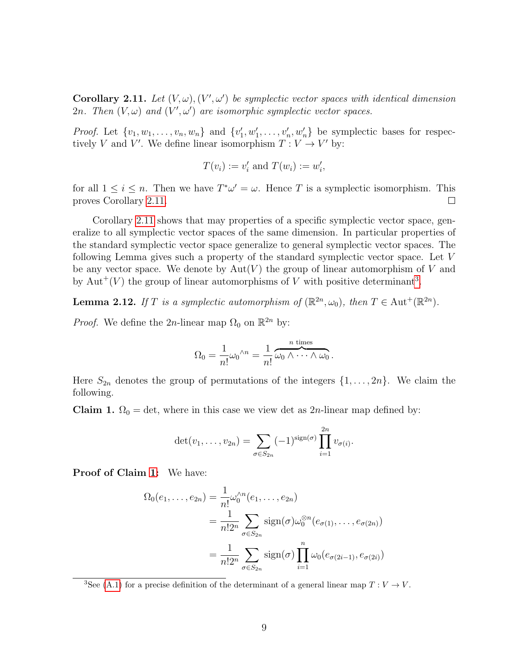Corollary 2.11. Let  $(V, \omega), (V', \omega')$  be symplectic vector spaces with identical dimension 2n. Then  $(V, \omega)$  and  $(V', \omega')$  are isomorphic symplectic vector spaces.

*Proof.* Let  $\{v_1, w_1, \ldots, v_n, w_n\}$  and  $\{v'_1, w'_1, \ldots, v'_n, w'_n\}$  be symplectic bases for respectively V and V'. We define linear isomorphism  $T: V \to V'$  by:

$$
T(v_i) := v'_i
$$
 and  $T(w_i) := w'_i$ ,

for all  $1 \leq i \leq n$ . Then we have  $T^*\omega' = \omega$ . Hence T is a symplectic isomorphism. This proves Corollary [2.11.](#page-11-1)  $\Box$ 

Corollary [2.11](#page-11-1) shows that may properties of a specific symplectic vector space, generalize to all symplectic vector spaces of the same dimension. In particular properties of the standard symplectic vector space generalize to general symplectic vector spaces. The following Lemma gives such a property of the standard symplectic vector space. Let V be any vector space. We denote by  $Aut(V)$  the group of linear automorphism of V and by Aut<sup>+</sup>(V) the group of linear automorphisms of V with positive determinant<sup>[3](#page-12-0)</sup>.

<span id="page-12-2"></span>**Lemma 2.12.** If T is a symplectic automorphism of  $(\mathbb{R}^{2n}, \omega_0)$ , then  $T \in \text{Aut}^+(\mathbb{R}^{2n})$ .

*Proof.* We define the 2n-linear map  $\Omega_0$  on  $\mathbb{R}^{2n}$  by:

$$
\Omega_0 = \frac{1}{n!} \omega_0^{\wedge n} = \frac{1}{n!} \overbrace{\omega_0 \wedge \cdots \wedge \omega_0}^{n \text{ times}}.
$$

Here  $S_{2n}$  denotes the group of permutations of the integers  $\{1, \ldots, 2n\}$ . We claim the following.

<span id="page-12-1"></span>Claim 1.  $\Omega_0 = \det$ , where in this case we view det as 2n-linear map defined by:

$$
\det(v_1,\ldots,v_{2n})=\sum_{\sigma\in S_{2n}}(-1)^{\operatorname{sign}(\sigma)}\prod_{i=1}^{2n}v_{\sigma(i)}.
$$

Proof of Claim [1:](#page-12-1) We have:

$$
\Omega_0(e_1,\ldots,e_{2n}) = \frac{1}{n!} \omega_0^{\wedge n}(e_1,\ldots,e_{2n})
$$
  
= 
$$
\frac{1}{n!2^n} \sum_{\sigma \in S_{2n}} sign(\sigma) \omega_0^{\otimes n}(e_{\sigma(1)},\ldots,e_{\sigma(2n)})
$$
  
= 
$$
\frac{1}{n!2^n} \sum_{\sigma \in S_{2n}} sign(\sigma) \prod_{i=1}^n \omega_0(e_{\sigma(2i-1)},e_{\sigma(2i)})
$$

<span id="page-12-0"></span><sup>&</sup>lt;sup>3</sup>See [\(A.1\)](#page-41-1) for a precise definition of the determinant of a general linear map  $T: V \to V$ .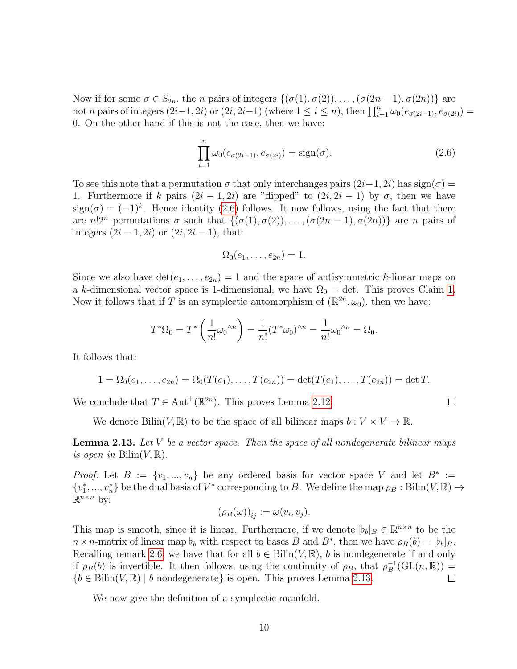Now if for some  $\sigma \in S_{2n}$ , the *n* pairs of integers  $\{(\sigma(1), \sigma(2)), \ldots, (\sigma(2n-1), \sigma(2n))\}$  are not n pairs of integers  $(2i-1, 2i)$  or  $(2i, 2i-1)$  (where  $1 \le i \le n$ ), then  $\prod_{i=1}^{n} \omega_0(e_{\sigma(2i-1)}, e_{\sigma(2i)})$ 0. On the other hand if this is not the case, then we have:

<span id="page-13-1"></span>
$$
\prod_{i=1}^{n} \omega_0(e_{\sigma(2i-1)}, e_{\sigma(2i)}) = \text{sign}(\sigma).
$$
\n(2.6)

 $\Box$ 

To see this note that a permutation  $\sigma$  that only interchanges pairs  $(2i-1, 2i)$  has sign( $\sigma$ ) = 1. Furthermore if k pairs  $(2i - 1, 2i)$  are "flipped" to  $(2i, 2i - 1)$  by  $\sigma$ , then we have  $sign(\sigma) = (-1)^k$ . Hence identity [\(2.6\)](#page-13-1) follows. It now follows, using the fact that there are  $n!2^n$  permutations  $\sigma$  such that  $\{(\sigma(1), \sigma(2)), \ldots, (\sigma(2n-1), \sigma(2n))\}$  are n pairs of integers  $(2i - 1, 2i)$  or  $(2i, 2i - 1)$ , that:

$$
\Omega_0(e_1,\ldots,e_{2n})=1.
$$

Since we also have  $\det(e_1, \ldots, e_{2n}) = 1$  and the space of antisymmetric k-linear maps on a k-dimensional vector space is 1-dimensional, we have  $\Omega_0 = \det$ . This proves Claim [1.](#page-12-1) Now it follows that if T is an symplectic automorphism of  $(\mathbb{R}^{2n}, \omega_0)$ , then we have:

$$
T^*\Omega_0 = T^* \left(\frac{1}{n!} \omega_0^{\wedge n}\right) = \frac{1}{n!} (T^*\omega_0)^{\wedge n} = \frac{1}{n!} \omega_0^{\wedge n} = \Omega_0.
$$

It follows that:

$$
1 = \Omega_0(e_1, \ldots, e_{2n}) = \Omega_0(T(e_1), \ldots, T(e_{2n})) = \det(T(e_1), \ldots, T(e_{2n})) = \det T.
$$

We conclude that  $T \in \text{Aut}^+(\mathbb{R}^{2n})$ . This proves Lemma [2.12.](#page-12-2)

We denote Bilin(V, R) to be the space of all bilinear maps  $b: V \times V \to \mathbb{R}$ .

<span id="page-13-2"></span>**Lemma 2.13.** Let  $V$  be a vector space. Then the space of all nondegenerate bilinear maps is open in  $\text{Bilin}(V, \mathbb{R})$ .

*Proof.* Let  $B := \{v_1, ..., v_n\}$  be any ordered basis for vector space V and let  $B^* :=$  $\{v_1^*,...,v_n^*\}$  be the dual basis of  $V^*$  corresponding to B. We define the map  $\rho_B: \text{Bilin}(V, \mathbb{R}) \to$  $\mathbb{R}^{n \times n}$  by:

$$
(\rho_B(\omega))_{ij} := \omega(v_i, v_j).
$$

This map is smooth, since it is linear. Furthermore, if we denote  $[b_b]_B \in \mathbb{R}^{n \times n}$  to be the  $n \times n$ -matrix of linear map  $b_b$  with respect to bases B and B<sup>\*</sup>, then we have  $\rho_B(b) = [b_b]_B$ . Recalling remark [2.6,](#page-8-2) we have that for all  $b \in \text{Bilin}(V, \mathbb{R})$ , b is nondegenerate if and only if  $\rho_B(b)$  is invertible. It then follows, using the continuity of  $\rho_B$ , that  $\rho_B^{-1}$  $_{B}^{-1}(\mathrm{GL}(n,\mathbb{R})) =$  ${b \in \text{Bilin}(V, \mathbb{R}) \mid b \text{ nondegenerate}}$  is open. This proves Lemma [2.13.](#page-13-2)  $\Box$ 

<span id="page-13-0"></span>We now give the definition of a symplectic manifold.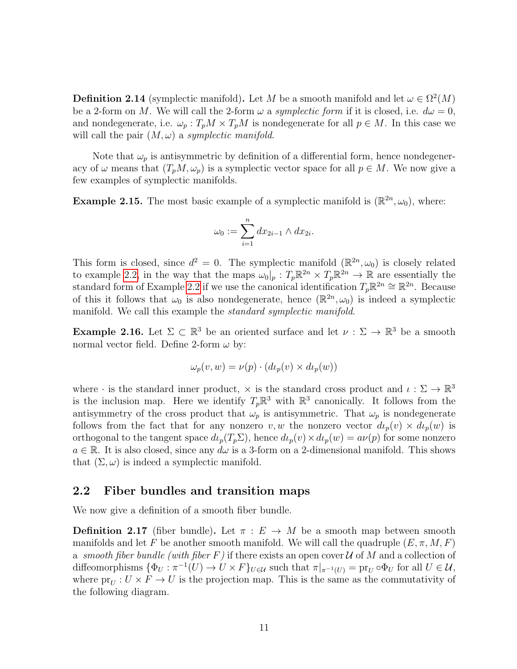**Definition 2.14** (symplectic manifold). Let M be a smooth manifold and let  $\omega \in \Omega^2(M)$ be a 2-form on M. We will call the 2-form  $\omega$  a symplectic form if it is closed, i.e.  $d\omega = 0$ , and nondegenerate, i.e.  $\omega_p : T_pM \times T_pM$  is nondegenerate for all  $p \in M$ . In this case we will call the pair  $(M, \omega)$  a symplectic manifold.

Note that  $\omega_p$  is antisymmetric by definition of a differential form, hence nondegeneracy of  $\omega$  means that  $(T_pM, \omega_p)$  is a symplectic vector space for all  $p \in M$ . We now give a few examples of symplectic manifolds.

**Example 2.15.** The most basic example of a symplectic manifold is  $(\mathbb{R}^{2n}, \omega_0)$ , where:

$$
\omega_0 := \sum_{i=1}^n dx_{2i-1} \wedge dx_{2i}.
$$

This form is closed, since  $d^2 = 0$ . The symplectic manifold  $(\mathbb{R}^{2n}, \omega_0)$  is closely related to example [2.2,](#page-7-6) in the way that the maps  $\omega_0|_p : T_p \mathbb{R}^{2n} \times T_p \mathbb{R}^{2n} \to \mathbb{R}$  are essentially the standard form of Example [2.2](#page-7-6) if we use the canonical identification  $T_p \mathbb{R}^{2n} \cong \mathbb{R}^{2n}$ . Because of this it follows that  $\omega_0$  is also nondegenerate, hence  $(\mathbb{R}^{2n}, \omega_0)$  is indeed a symplectic manifold. We call this example the *standard symplectic manifold*.

**Example 2.16.** Let  $\Sigma \subset \mathbb{R}^3$  be an oriented surface and let  $\nu : \Sigma \to \mathbb{R}^3$  be a smooth normal vector field. Define 2-form  $\omega$  by:

$$
\omega_p(v, w) = \nu(p) \cdot (d\iota_p(v) \times d\iota_p(w))
$$

where  $\cdot$  is the standard inner product,  $\times$  is the standard cross product and  $\iota : \Sigma \to \mathbb{R}^3$ is the inclusion map. Here we identify  $T_p \mathbb{R}^3$  with  $\mathbb{R}^3$  canonically. It follows from the antisymmetry of the cross product that  $\omega_p$  is antisymmetric. That  $\omega_p$  is nondegenerate follows from the fact that for any nonzero v, w the nonzero vector  $d\iota_p(v) \times d\iota_p(w)$  is orthogonal to the tangent space  $d\iota_p(T_p\Sigma)$ , hence  $d\iota_p(v)\times d\iota_p(w) = a\nu(p)$  for some nonzero  $a \in \mathbb{R}$ . It is also closed, since any  $d\omega$  is a 3-form on a 2-dimensional manifold. This shows that  $(\Sigma, \omega)$  is indeed a symplectic manifold.

#### <span id="page-14-0"></span>2.2 Fiber bundles and transition maps

We now give a definition of a smooth fiber bundle.

**Definition 2.17** (fiber bundle). Let  $\pi : E \to M$  be a smooth map between smooth manifolds and let F be another smooth manifold. We will call the quadruple  $(E, \pi, M, F)$ a smooth fiber bundle (with fiber F) if there exists an open cover  $U$  of M and a collection of diffeomorphisms  $\{\Phi_U : \pi^{-1}(U) \to U \times F\}_{U \in \mathcal{U}}$  such that  $\pi|_{\pi^{-1}(U)} = \text{pr}_U \circ \Phi_U$  for all  $U \in \mathcal{U}$ , where  $pr_U : U \times F \to U$  is the projection map. This is the same as the commutativity of the following diagram.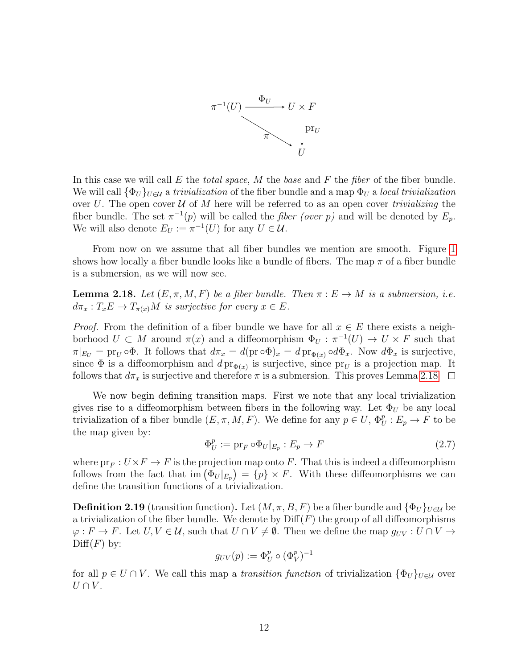

In this case we will call E the *total space*, M the base and F the *fiber* of the fiber bundle. We will call  $\{\Phi_U\}_{U\in\mathcal{U}}$  a trivialization of the fiber bundle and a map  $\Phi_U$  a local trivialization over U. The open cover U of M here will be referred to as an open cover *trivializing* the fiber bundle. The set  $\pi^{-1}(p)$  will be called the *fiber (over p)* and will be denoted by  $E_p$ . We will also denote  $E_U := \pi^{-1}(U)$  for any  $U \in \mathcal{U}$ .

From now on we assume that all fiber bundles we mention are smooth. Figure [1](#page-5-0) shows how locally a fiber bundle looks like a bundle of fibers. The map  $\pi$  of a fiber bundle is a submersion, as we will now see.

<span id="page-15-0"></span>**Lemma 2.18.** Let  $(E, \pi, M, F)$  be a fiber bundle. Then  $\pi : E \to M$  is a submersion, i.e.  $d\pi_x: T_xE \to T_{\pi(x)}M$  is surjective for every  $x \in E$ .

*Proof.* From the definition of a fiber bundle we have for all  $x \in E$  there exists a neighborhood  $U \subset M$  around  $\pi(x)$  and a diffeomorphism  $\Phi_U : \pi^{-1}(U) \to U \times F$  such that  $\pi|_{E_U} = \text{pr}_U \circ \Phi$ . It follows that  $d\pi_x = d(\text{pr} \circ \Phi)_x = d \text{pr}_{\Phi(x)} \circ d\Phi_x$ . Now  $d\Phi_x$  is surjective, since  $\Phi$  is a diffeomorphism and  $d \text{pr}_{\Phi(x)}$  is surjective, since  $\text{pr}_U$  is a projection map. It follows that  $d\pi_x$  is surjective and therefore  $\pi$  is a submersion. This proves Lemma [2.18](#page-15-0)  $\Box$ 

We now begin defining transition maps. First we note that any local trivialization gives rise to a diffeomorphism between fibers in the following way. Let  $\Phi_U$  be any local trivialization of a fiber bundle  $(E, \pi, M, F)$ . We define for any  $p \in U$ ,  $\Phi_U^p : E_p \to F$  to be the map given by:

$$
\Phi_U^p := \text{pr}_F \circ \Phi_U |_{E_p} : E_p \to F \tag{2.7}
$$

where  $pr_F: U \times F \to F$  is the projection map onto F. That this is indeed a diffeomorphism follows from the fact that im  $(\Phi_U|_{E_p}) = \{p\} \times F$ . With these diffeomorphisms we can define the transition functions of a trivialization.

**Definition 2.19** (transition function). Let  $(M, \pi, B, F)$  be a fiber bundle and  $\{\Phi_U\}_{U\in\mathcal{U}}$  be a trivialization of the fiber bundle. We denote by  $\text{Diff}(F)$  the group of all diffeomorphisms  $\varphi: F \to F$ . Let  $U, V \in \mathcal{U}$ , such that  $U \cap V \neq \emptyset$ . Then we define the map  $g_{UV}: U \cap V \to V$  $\mathrm{Diff}(F)$  by:

$$
g_{UV}(p) := \Phi_U^p \circ (\Phi_V^p)^{-1}
$$

for all  $p \in U \cap V$ . We call this map a *transition function* of trivialization  $\{\Phi_U\}_{U \in \mathcal{U}}$  over  $U \cap V$ .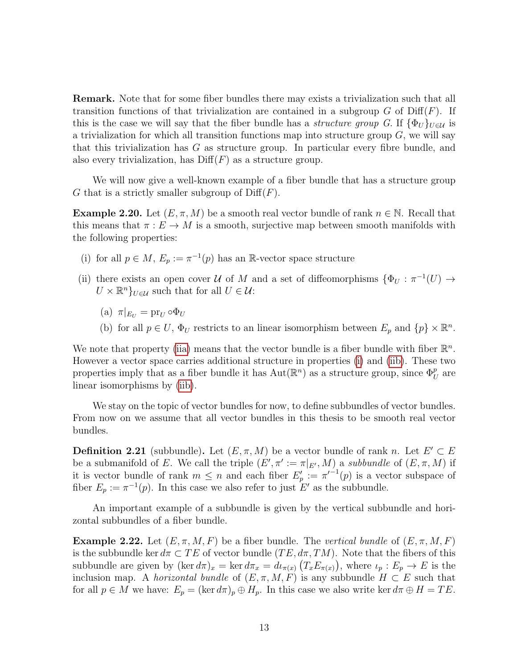Remark. Note that for some fiber bundles there may exists a trivialization such that all transition functions of that trivialization are contained in a subgroup  $G$  of  $\text{Diff}(F)$ . If this is the case we will say that the fiber bundle has a *structure group G*. If  $\{\Phi_U\}_{U \in \mathcal{U}}$  is a trivialization for which all transition functions map into structure group  $G$ , we will say that this trivialization has  $G$  as structure group. In particular every fibre bundle, and also every trivialization, has  $\text{Diff}(F)$  as a structure group.

We will now give a well-known example of a fiber bundle that has a structure group G that is a strictly smaller subgroup of  $\text{Diff}(F)$ .

**Example 2.20.** Let  $(E, \pi, M)$  be a smooth real vector bundle of rank  $n \in \mathbb{N}$ . Recall that this means that  $\pi: E \to M$  is a smooth, surjective map between smooth manifolds with the following properties:

- <span id="page-16-1"></span>(i) for all  $p \in M$ ,  $E_p := \pi^{-1}(p)$  has an R-vector space structure
- <span id="page-16-0"></span>(ii) there exists an open cover U of M and a set of diffeomorphisms  $\{\Phi_U : \pi^{-1}(U) \to$  $U \times \mathbb{R}^n$ <sub>U∈U</sub> such that for all  $U \in \mathcal{U}$ :
	- (a)  $\pi|_{E_U} = \text{pr}_U \circ \Phi_U$
	- (b) for all  $p \in U$ ,  $\Phi_U$  restricts to an linear isomorphism between  $E_p$  and  $\{p\} \times \mathbb{R}^n$ .

<span id="page-16-2"></span>We note that property [\(iia\)](#page-16-0) means that the vector bundle is a fiber bundle with fiber  $\mathbb{R}^n$ . However a vector space carries additional structure in properties [\(i\)](#page-16-1) and [\(iib\)](#page-16-2). These two properties imply that as a fiber bundle it has  $Aut(\mathbb{R}^n)$  as a structure group, since  $\Phi_U^p$  are linear isomorphisms by [\(iib\)](#page-16-2).

We stay on the topic of vector bundles for now, to define subbundles of vector bundles. From now on we assume that all vector bundles in this thesis to be smooth real vector bundles.

**Definition 2.21** (subbundle). Let  $(E, \pi, M)$  be a vector bundle of rank n. Let  $E' \subset E$ be a submanifold of E. We call the triple  $(E', \pi' := \pi|_{E'}, M)$  a subbundle of  $(E, \pi, M)$  if it is vector bundle of rank  $m \leq n$  and each fiber  $E'_p := {\pi'}^{-1}(p)$  is a vector subspace of fiber  $E_p := \pi^{-1}(p)$ . In this case we also refer to just  $E'$  as the subbundle.

An important example of a subbundle is given by the vertical subbundle and horizontal subbundles of a fiber bundle.

**Example 2.22.** Let  $(E, \pi, M, F)$  be a fiber bundle. The vertical bundle of  $(E, \pi, M, F)$ is the subbundle ker  $d\pi \subset TE$  of vector bundle  $(TE, d\pi, TM)$ . Note that the fibers of this subbundle are given by  $(\ker d\pi)_x = \ker d\pi_x = d\iota_{\pi(x)}(T_x E_{\pi(x)})$ , where  $\iota_p : E_p \to E$  is the inclusion map. A *horizontal bundle* of  $(E, \pi, M, F)$  is any subbundle  $H \subset E$  such that for all  $p \in M$  we have:  $E_p = (\ker d\pi)_p \oplus H_p$ . In this case we also write ker  $d\pi \oplus H = TE$ .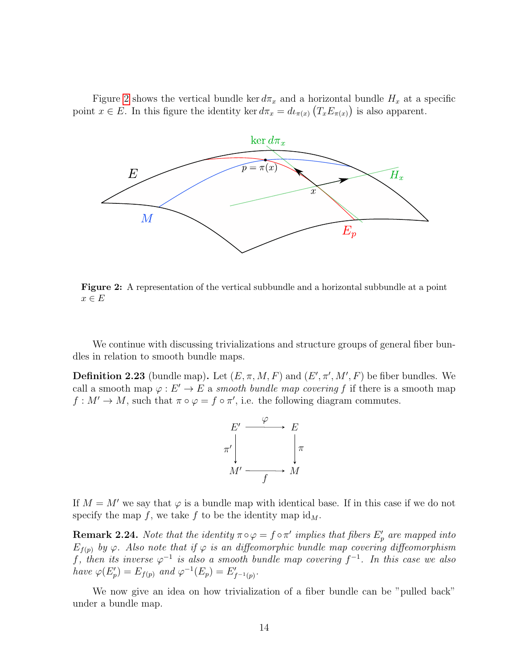Figure [2](#page-17-0) shows the vertical bundle ker  $d\pi_x$  and a horizontal bundle  $H_x$  at a specific point  $x \in E$ . In this figure the identity ker  $d\pi_x = d\iota_{\pi(x)}(T_x E_{\pi(x)})$  is also apparent.

<span id="page-17-0"></span>

Figure 2: A representation of the vertical subbundle and a horizontal subbundle at a point  $x \in E$ 

We continue with discussing trivializations and structure groups of general fiber bundles in relation to smooth bundle maps.

**Definition 2.23** (bundle map). Let  $(E, \pi, M, F)$  and  $(E', \pi', M', F)$  be fiber bundles. We call a smooth map  $\varphi : E' \to E$  a smooth bundle map covering f if there is a smooth map  $f: M' \to M$ , such that  $\pi \circ \varphi = f \circ \pi'$ , i.e. the following diagram commutes.



If  $M = M'$  we say that  $\varphi$  is a bundle map with identical base. If in this case if we do not specify the map f, we take f to be the identity map  $\mathrm{id}_M$ .

<span id="page-17-1"></span>**Remark 2.24.** Note that the identity  $\pi \circ \varphi = f \circ \pi'$  implies that fibers  $E'_p$  are mapped into  $E_{f(p)}$  by  $\varphi$ . Also note that if  $\varphi$  is an diffeomorphic bundle map covering diffeomorphism f, then its inverse  $\varphi^{-1}$  is also a smooth bundle map covering  $f^{-1}$ . In this case we also have  $\varphi(E'_p) = E_{f(p)}$  and  $\varphi^{-1}(E_p) = E'_{f^{-1}(p)}$ .

<span id="page-17-2"></span>We now give an idea on how trivialization of a fiber bundle can be "pulled back" under a bundle map.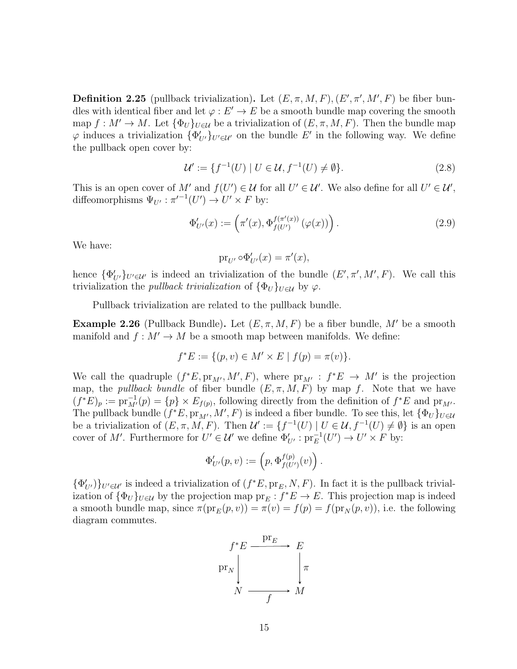**Definition 2.25** (pullback trivialization). Let  $(E, \pi, M, F)$ ,  $(E', \pi', M', F)$  be fiber bundles with identical fiber and let  $\varphi : E' \to E$  be a smooth bundle map covering the smooth map  $f: M' \to M$ . Let  $\{\Phi_U\}_{U \in \mathcal{U}}$  be a trivialization of  $(E, \pi, M, F)$ . Then the bundle map  $\varphi$  induces a trivialization  $\{\Phi'_{U'}\}_{U' \in \mathcal{U}'}$  on the bundle  $E'$  in the following way. We define the pullback open cover by:

<span id="page-18-0"></span>
$$
\mathcal{U}' := \{ f^{-1}(U) \mid U \in \mathcal{U}, f^{-1}(U) \neq \emptyset \}. \tag{2.8}
$$

This is an open cover of M' and  $f(U') \in \mathcal{U}$  for all  $U' \in \mathcal{U}'$ . We also define for all  $U' \in \mathcal{U}'$ , diffeomorphisms  $\Psi_{U'} : \pi'^{-1}(U') \to U' \times F$  by:

<span id="page-18-1"></span>
$$
\Phi'_{U'}(x) := \left(\pi'(x), \Phi_{f(U')}^{f(\pi'(x))}(\varphi(x))\right). \tag{2.9}
$$

We have:

$$
\mathrm{pr}_{U'} \circ \Phi'_{U'}(x) = \pi'(x),
$$

hence  $\{\Phi'_{U'}\}_{U' \in \mathcal{U}'}$  is indeed an trivialization of the bundle  $(E', \pi', M', F)$ . We call this trivialization the *pullback trivialization* of  $\{\Phi_U\}_{U\in\mathcal{U}}$  by  $\varphi$ .

Pullback trivialization are related to the pullback bundle.

**Example 2.26** (Pullback Bundle). Let  $(E, \pi, M, F)$  be a fiber bundle, M' be a smooth manifold and  $f : M' \to M$  be a smooth map between manifolds. We define:

$$
f^*E := \{ (p, v) \in M' \times E \mid f(p) = \pi(v) \}.
$$

We call the quadruple  $(f^*E, pr_{M'}, M', F)$ , where  $pr_{M'} : f^*E \to M'$  is the projection map, the *pullback bundle* of fiber bundle  $(E, \pi, M, F)$  by map f. Note that we have  $(f^*E)_p := \text{pr}_{M'}^{-1}(p) = \{p\} \times E_{f(p)}$ , following directly from the definition of  $f^*E$  and  $\text{pr}_{M'}$ . The pullback bundle  $(f^*E, \text{pr}_M, M', F)$  is indeed a fiber bundle. To see this, let  $\{\Phi_U\}_{U \in \mathcal{U}}$ be a trivialization of  $(E, \pi, M, F)$ . Then  $\mathcal{U}' := \{ f^{-1}(U) \mid U \in \mathcal{U}, f^{-1}(U) \neq \emptyset \}$  is an open cover of M'. Furthermore for  $U' \in \mathcal{U}'$  we define  $\Phi'_{U'} : \text{pr}_E^{-1}(U') \to U' \times F$  by:

$$
\Phi'_{U'}(p,v) := \left(p, \Phi_{f(U')}^{f(p)}(v)\right).
$$

 $\{\Phi'_{U'}\}\}_{U' \in \mathcal{U}'}$  is indeed a trivialization of  $(f^*E, pr_E, N, F)$ . In fact it is the pullback trivialization of  $\{\Phi_U\}_{U\in\mathcal{U}}$  by the projection map  $pr_E: f^*E \to E$ . This projection map is indeed a smooth bundle map, since  $\pi(\text{pr}_E(p, v)) = \pi(v) = f(p) = f(\text{pr}_N(p, v))$ , i.e. the following diagram commutes.

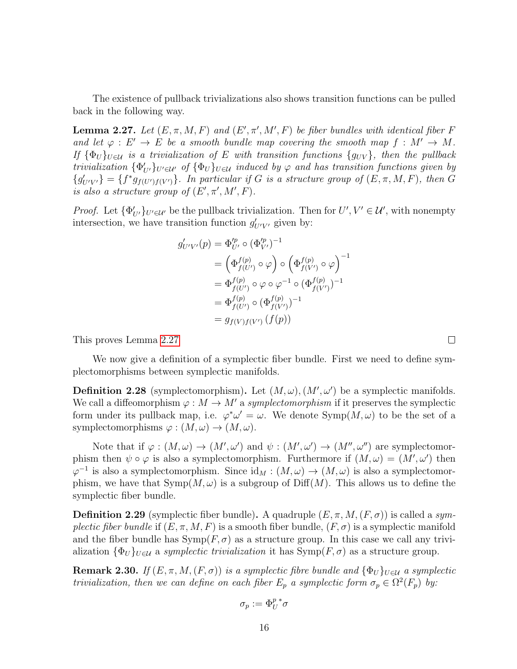The existence of pullback trivializations also shows transition functions can be pulled back in the following way.

<span id="page-19-1"></span>**Lemma 2.27.** Let  $(E, \pi, M, F)$  and  $(E', \pi', M', F)$  be fiber bundles with identical fiber F and let  $\varphi : E' \to E$  be a smooth bundle map covering the smooth map  $f : M' \to M$ . If  ${\{\Phi_U\}}_{U\in\mathcal{U}}$  is a trivialization of E with transition functions  $\{g_{UV}\}\$ , then the pullback trivialization  $\{\Phi'_{U'}\}_{U'\in\mathcal{U}'}$  of  $\{\Phi_U\}_{U\in\mathcal{U}}$  induced by  $\varphi$  and has transition functions given by  ${g'_{U'V'}} = {f^*g_{f(U')f(V')}}$ . In particular if G is a structure group of  $(E, \pi, M, F)$ , then G is also a structure group of  $(E', \pi', M', F)$ .

*Proof.* Let  $\{\Phi'_{U'}\}_{U' \in \mathcal{U}'}$  be the pullback trivialization. Then for  $U', V' \in \mathcal{U}'$ , with nonempty intersection, we have transition function  $g'_{U'V'}$  given by:

$$
g'_{U'V'}(p) = \Phi_{U'}^{p} \circ (\Phi_{V'}^{p})^{-1}
$$
  
=  $(\Phi_{f(U')}^{f(p)} \circ \varphi) \circ (\Phi_{f(V')}^{f(p)} \circ \varphi)^{-1}$   
=  $\Phi_{f(U')}^{f(p)} \circ \varphi \circ \varphi^{-1} \circ (\Phi_{f(V')}^{f(p)})^{-1}$   
=  $\Phi_{f(U')}^{f(p)} \circ (\Phi_{f(V')}^{f(p)})^{-1}$   
=  $g_{f(V)f(V')}(f(p))$ 

This proves Lemma [2.27](#page-19-1)

We now give a definition of a symplectic fiber bundle. First we need to define symplectomorphisms between symplectic manifolds.

 $\Box$ 

**Definition 2.28** (symplectomorphism). Let  $(M, \omega)$ ,  $(M', \omega')$  be a symplectic manifolds. We call a diffeomorphism  $\varphi : M \to M'$  a symplectomorphism if it preserves the symplectic form under its pullback map, i.e.  $\varphi^* \omega' = \omega$ . We denote  $\text{Symp}(M, \omega)$  to be the set of a symplectomorphisms  $\varphi : (M, \omega) \to (M, \omega)$ .

Note that if  $\varphi : (M, \omega) \to (M', \omega')$  and  $\psi : (M', \omega') \to (M'', \omega'')$  are symplectomorphism then  $\psi \circ \varphi$  is also a symplectomorphism. Furthermore if  $(M, \omega) = (M', \omega')$  then  $\varphi^{-1}$  is also a symplectomorphism. Since  $\mathrm{id}_M : (M, \omega) \to (M, \omega)$  is also a symplectomorphism, we have that  $\text{Symp}(M, \omega)$  is a subgroup of  $\text{Diff}(M)$ . This allows us to define the symplectic fiber bundle.

<span id="page-19-0"></span>**Definition 2.29** (symplectic fiber bundle). A quadruple  $(E, \pi, M, (F, \sigma))$  is called a symplectic fiber bundle if  $(E, \pi, M, F)$  is a smooth fiber bundle,  $(F, \sigma)$  is a symplectic manifold and the fiber bundle has  $\text{Symp}(F, \sigma)$  as a structure group. In this case we call any trivialization  $\{\Phi_U\}_{U\in\mathcal{U}}$  a symplectic trivialization it has  $\text{Symp}(F,\sigma)$  as a structure group.

**Remark 2.30.** If  $(E, \pi, M, (F, \sigma))$  is a symplectic fibre bundle and  $\{\Phi_U\}_{U \in \mathcal{U}}$  a symplectic trivialization, then we can define on each fiber  $E_p$  a symplectic form  $\sigma_p \in \Omega^2(F_p)$  by:

$$
\sigma_p:=\Phi_U^{p\,*}\sigma
$$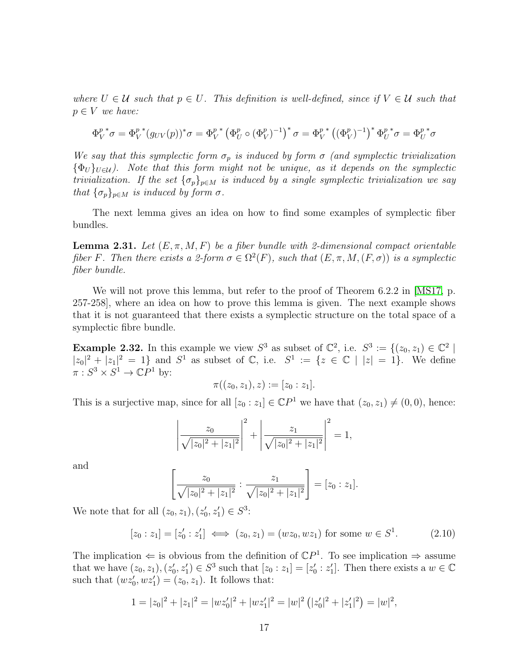where  $U \in \mathcal{U}$  such that  $p \in U$ . This definition is well-defined, since if  $V \in \mathcal{U}$  such that  $p \in V$  we have:

$$
\Phi_V^{p\,*} \sigma = \Phi_V^{p\,*} (g_{UV}(p))^\ast \sigma = \Phi_V^{p\,*} (\Phi_U^p \circ (\Phi_V^p)^{-1})^\ast \sigma = \Phi_V^{p\,*} ((\Phi_V^p)^{-1})^\ast \Phi_U^{p\,*} \sigma = \Phi_U^{p\,*} \sigma
$$

We say that this symplectic form  $\sigma_p$  is induced by form  $\sigma$  (and symplectic trivialization  ${\lbrace \Phi_U \rbrace}_{U \in \mathcal{U}}$ . Note that this form might not be unique, as it depends on the symplectic trivialization. If the set  $\{\sigma_p\}_{p \in M}$  is induced by a single symplectic trivialization we say that  $\{\sigma_p\}_{p\in M}$  is induced by form  $\sigma$ .

The next lemma gives an idea on how to find some examples of symplectic fiber bundles.

<span id="page-20-2"></span>**Lemma 2.31.** Let  $(E, \pi, M, F)$  be a fiber bundle with 2-dimensional compact orientable fiber F. Then there exists a 2-form  $\sigma \in \Omega^2(F)$ , such that  $(E, \pi, M, (F, \sigma))$  is a symplectic fiber bundle.

We will not prove this lemma, but refer to the proof of Theorem 6.2.2 in [\[MS17,](#page-43-0) p. 257-258], where an idea on how to prove this lemma is given. The next example shows that it is not guaranteed that there exists a symplectic structure on the total space of a symplectic fibre bundle.

<span id="page-20-0"></span>**Example 2.32.** In this example we view  $S^3$  as subset of  $\mathbb{C}^2$ , i.e.  $S^3 := \{(z_0, z_1) \in \mathbb{C}^2\}$ |  $|z_0|^2 + |z_1|^2 = 1$  and  $S^1$  as subset of  $\mathbb{C}$ , i.e.  $S^1 := \{z \in \mathbb{C} \mid |z| = 1\}$ . We define  $\pi : S^3 \times S^1 \to \mathbb{C}P^1$  by:

$$
\pi((z_0,z_1),z):=[z_0:z_1].
$$

This is a surjective map, since for all  $[z_0 : z_1] \in \mathbb{C}P^1$  we have that  $(z_0, z_1) \neq (0, 0)$ , hence:

$$
\left|\frac{z_0}{\sqrt{|z_0|^2+|z_1|^2}}\right|^2+\left|\frac{z_1}{\sqrt{|z_0|^2+|z_1|^2}}\right|^2=1,
$$

and

$$
\left[\frac{z_0}{\sqrt{|z_0|^2+|z_1|^2}}:\frac{z_1}{\sqrt{|z_0|^2+|z_1|^2}}\right]=[z_0:z_1].
$$

We note that for all  $(z_0, z_1), (z'_0, z'_1) \in S^3$ :

<span id="page-20-1"></span>
$$
[z_0 : z_1] = [z'_0 : z'_1] \iff (z_0, z_1) = (wz_0, wz_1) \text{ for some } w \in S^1.
$$
 (2.10)

The implication  $\Leftarrow$  is obvious from the definition of  $\mathbb{C}P^1$ . To see implication  $\Rightarrow$  assume that we have  $(z_0, z_1), (z'_0, z'_1) \in S^3$  such that  $[z_0 : z_1] = [z'_0 : z'_1]$ . Then there exists a  $w \in \mathbb{C}$ such that  $(wz'_0, wz'_1) = (z_0, z_1)$ . It follows that:

$$
1 = |z_0|^2 + |z_1|^2 = |wz'_0|^2 + |wz'_1|^2 = |w|^2 (|z'_0|^2 + |z'_1|^2) = |w|^2,
$$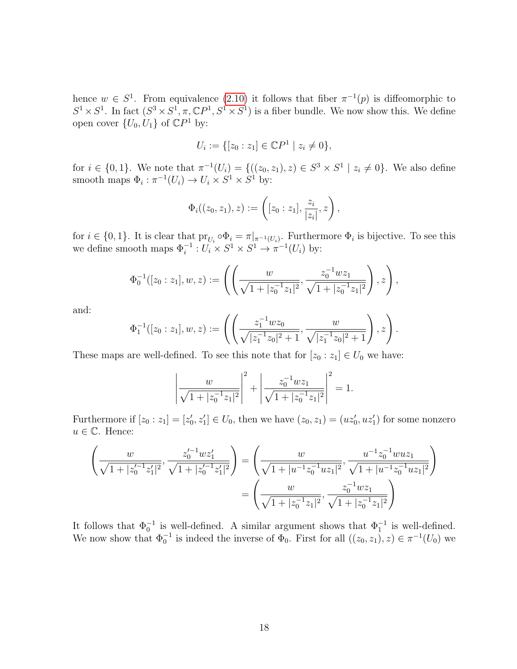hence  $w \in S^1$ . From equivalence [\(2.10\)](#page-20-1) it follows that fiber  $\pi^{-1}(p)$  is diffeomorphic to  $S^1 \times S^1$ . In fact  $(S^3 \times S^1, \pi, \mathbb{C}P^1, S^1 \times S^1)$  is a fiber bundle. We now show this. We define open cover  $\{U_0, \dot{U}_1\}$  of  $\mathbb{C}P^1$  by:

$$
U_i := \{ [z_0 : z_1] \in \mathbb{C}P^1 \mid z_i \neq 0 \},\
$$

for  $i \in \{0,1\}$ . We note that  $\pi^{-1}(U_i) = \{((z_0, z_1), z) \in S^3 \times S^1 \mid z_i \neq 0\}$ . We also define smooth maps  $\Phi_i : \pi^{-1}(U_i) \to U_i \times S^1 \times S^1$  by:

$$
\Phi_i((z_0, z_1), z) := \left( [z_0 : z_1], \frac{z_i}{|z_i|}, z \right),
$$

for  $i \in \{0,1\}$ . It is clear that  $\text{pr}_{U_i} \circ \Phi_i = \pi|_{\pi^{-1}(U_i)}$ . Furthermore  $\Phi_i$  is bijective. To see this we define smooth maps  $\Phi_i^{-1}: U_i \times S^1 \times S^1 \to \pi^{-1}(U_i)$  by:

$$
\Phi_0^{-1}([z_0:z_1],w,z) := \left( \left( \frac{w}{\sqrt{1+|z_0^{-1}z_1|^2}}, \frac{z_0^{-1}wz_1}{\sqrt{1+|z_0^{-1}z_1|^2}} \right), z \right),
$$

and:

$$
\Phi_1^{-1}([z_0:z_1],w,z) := \left( \left( \frac{z_1^{-1}wz_0}{\sqrt{|z_1^{-1}z_0|^2 + 1}}, \frac{w}{\sqrt{|z_1^{-1}z_0|^2 + 1}} \right), z \right).
$$

These maps are well-defined. To see this note that for  $[z_0 : z_1] \in U_0$  we have:

$$
\left|\frac{w}{\sqrt{1+|z_0^{-1}z_1|^2}}\right|^2 + \left|\frac{z_0^{-1}wz_1}{\sqrt{1+|z_0^{-1}z_1|^2}}\right|^2 = 1.
$$

Furthermore if  $[z_0 : z_1] = [z'_0, z'_1] \in U_0$ , then we have  $(z_0, z_1) = (uz'_0, uz'_1)$  for some nonzero  $u \in \mathbb{C}$ . Hence:

$$
\left(\frac{w}{\sqrt{1+|z_0'^{-1}z_1'|^2}}, \frac{z_0'^{-1}wz_1'}{\sqrt{1+|z_0'^{-1}z_1'|^2}}\right) = \left(\frac{w}{\sqrt{1+|u^{-1}z_0^{-1}uz_1|^2}}, \frac{u^{-1}z_0^{-1}wuz_1}{\sqrt{1+|u^{-1}z_0^{-1}uz_1|^2}}\right)
$$

$$
= \left(\frac{w}{\sqrt{1+|z_0^{-1}z_1|^2}}, \frac{z_0^{-1}wz_1}{\sqrt{1+|z_0^{-1}z_1|^2}}\right)
$$

It follows that  $\Phi_0^{-1}$  is well-defined. A similar argument shows that  $\Phi_1^{-1}$  is well-defined. We now show that  $\Phi_0^{-1}$  is indeed the inverse of  $\Phi_0$ . First for all  $((z_0, z_1), z) \in \pi^{-1}(U_0)$  we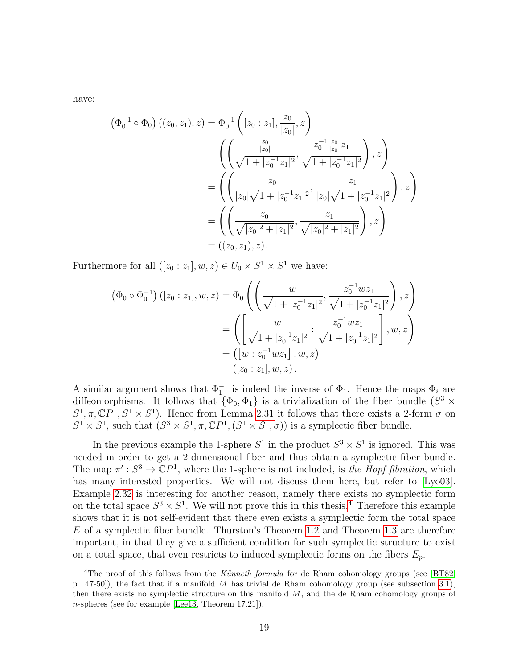have:

$$
(\Phi_0^{-1} \circ \Phi_0) ((z_0, z_1), z) = \Phi_0^{-1} \left( [z_0 : z_1], \frac{z_0}{|z_0|}, z \right)
$$
  
= 
$$
\left( \left( \frac{\frac{z_0}{|z_0|}}{\sqrt{1 + |z_0^{-1}z_1|^2}}, \frac{z_0^{-1} \frac{z_0}{|z_0|} z_1}{\sqrt{1 + |z_0^{-1}z_1|^2}} \right), z \right)
$$
  
= 
$$
\left( \left( \frac{z_0}{|z_0| \sqrt{1 + |z_0^{-1}z_1|^2}}, \frac{z_1}{|z_0| \sqrt{1 + |z_0^{-1}z_1|^2}} \right), z \right)
$$
  
= 
$$
\left( \left( \frac{z_0}{\sqrt{|z_0|^2 + |z_1|^2}}, \frac{z_1}{\sqrt{|z_0|^2 + |z_1|^2}} \right), z \right)
$$
  
= 
$$
((z_0, z_1), z).
$$

Furthermore for all  $([z_0 : z_1], w, z) \in U_0 \times S^1 \times S^1$  we have:

$$
\begin{aligned}\n\left(\Phi_0 \circ \Phi_0^{-1}\right) \left( [z_0 : z_1], w, z \right) &= \Phi_0 \left( \left( \frac{w}{\sqrt{1 + |z_0^{-1} z_1|^2}}, \frac{z_0^{-1} w z_1}{\sqrt{1 + |z_0^{-1} z_1|^2}} \right), z \right) \\
&= \left( \left[ \frac{w}{\sqrt{1 + |z_0^{-1} z_1|^2}} : \frac{z_0^{-1} w z_1}{\sqrt{1 + |z_0^{-1} z_1|^2}} \right], w, z \right) \\
&= \left( [w : z_0^{-1} w z_1], w, z \right) \\
&= \left( [z_0 : z_1], w, z \right).\n\end{aligned}
$$

A similar argument shows that  $\Phi_1^{-1}$  is indeed the inverse of  $\Phi_1$ . Hence the maps  $\Phi_i$  are diffeomorphisms. It follows that  $\{\Phi_0, \Phi_1\}$  is a trivialization of the fiber bundle  $(S^3 \times$  $S^1, \pi, \mathbb{C}P^1, S^1 \times S^1$ ). Hence from Lemma [2.31](#page-20-2) it follows that there exists a 2-form  $\sigma$  on  $S^1 \times S^1$ , such that  $(S^3 \times S^1, \pi, \mathbb{C}P^1, (S^1 \times S^1, \sigma))$  is a symplectic fiber bundle.

In the previous example the 1-sphere  $S^1$  in the product  $S^3 \times S^1$  is ignored. This was needed in order to get a 2-dimensional fiber and thus obtain a symplectic fiber bundle. The map  $\pi': S^3 \to \mathbb{C}P^1$ , where the 1-sphere is not included, is the Hopf fibration, which has many interested properties. We will not discuss them here, but refer to [\[Lyo03\]](#page-43-3). Example [2.32](#page-20-0) is interesting for another reason, namely there exists no symplectic form on the total space  $S^3 \times S^1$ . We will not prove this in this thesis.<sup>[4](#page-22-0)</sup> Therefore this example shows that it is not self-evident that there even exists a symplectic form the total space E of a symplectic fiber bundle. Thurston's Theorem [1.2](#page-6-1) and Theorem [1.3](#page-6-2) are therefore important, in that they give a sufficient condition for such symplectic structure to exist on a total space, that even restricts to induced symplectic forms on the fibers  $E_p$ .

<span id="page-22-0"></span><sup>&</sup>lt;sup>4</sup>The proof of this follows from the Künneth formula for de Rham cohomology groups (see [\[BT82,](#page-43-1) p. 47-50]), the fact that if a manifold M has trivial de Rham cohomology group (see subsection [3.1\)](#page-23-1), then there exists no symplectic structure on this manifold  $M$ , and the de Rham cohomology groups of n-spheres (see for example [\[Lee13,](#page-43-4) Theorem 17.21]).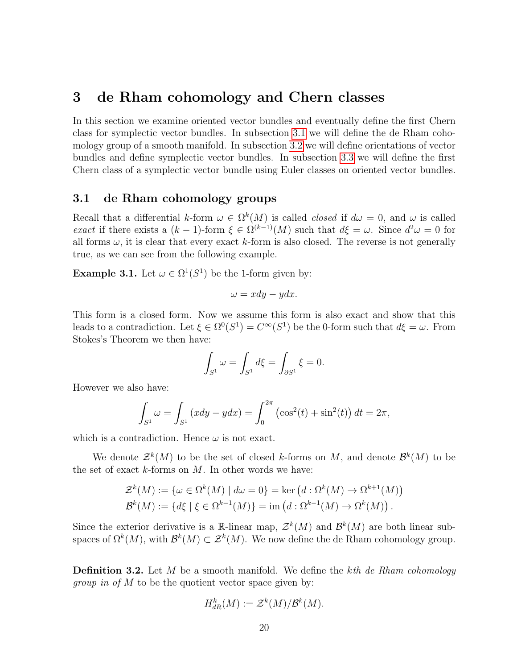## <span id="page-23-0"></span>3 de Rham cohomology and Chern classes

In this section we examine oriented vector bundles and eventually define the first Chern class for symplectic vector bundles. In subsection [3.1](#page-23-1) we will define the de Rham cohomology group of a smooth manifold. In subsection [3.2](#page-25-0) we will define orientations of vector bundles and define symplectic vector bundles. In subsection [3.3](#page-31-0) we will define the first Chern class of a symplectic vector bundle using Euler classes on oriented vector bundles.

#### <span id="page-23-1"></span>3.1 de Rham cohomology groups

Recall that a differential k-form  $\omega \in \Omega^k(M)$  is called *closed* if  $d\omega = 0$ , and  $\omega$  is called exact if there exists a  $(k-1)$ -form  $\xi \in \Omega^{(k-1)}(M)$  such that  $d\xi = \omega$ . Since  $d^2\omega = 0$  for all forms  $\omega$ , it is clear that every exact k-form is also closed. The reverse is not generally true, as we can see from the following example.

**Example 3.1.** Let  $\omega \in \Omega^1(S^1)$  be the 1-form given by:

$$
\omega = xdy - ydx.
$$

This form is a closed form. Now we assume this form is also exact and show that this leads to a contradiction. Let  $\xi \in \Omega^0(S^1) = C^{\infty}(S^1)$  be the 0-form such that  $d\xi = \omega$ . From Stokes's Theorem we then have:

$$
\int_{S^1} \omega = \int_{S^1} d\xi = \int_{\partial S^1} \xi = 0.
$$

However we also have:

$$
\int_{S^1} \omega = \int_{S^1} (xdy - ydx) = \int_0^{2\pi} (\cos^2(t) + \sin^2(t)) dt = 2\pi,
$$

which is a contradiction. Hence  $\omega$  is not exact.

We denote  $\mathcal{Z}^k(M)$  to be the set of closed k-forms on M, and denote  $\mathcal{B}^k(M)$  to be the set of exact  $k$ -forms on  $M$ . In other words we have:

$$
\mathcal{Z}^k(M) := \{ \omega \in \Omega^k(M) \mid d\omega = 0 \} = \ker \left( d : \Omega^k(M) \to \Omega^{k+1}(M) \right)
$$

$$
\mathcal{B}^k(M) := \{ d\xi \mid \xi \in \Omega^{k-1}(M) \} = \text{im} \left( d : \Omega^{k-1}(M) \to \Omega^k(M) \right).
$$

Since the exterior derivative is a R-linear map,  $\mathcal{Z}^k(M)$  and  $\mathcal{B}^k(M)$  are both linear subspaces of  $\Omega^k(M)$ , with  $\mathcal{B}^k(M) \subset \mathcal{Z}^k(M)$ . We now define the de Rham cohomology group.

**Definition 3.2.** Let  $M$  be a smooth manifold. We define the kth de Rham cohomology *group in of*  $M$  to be the quotient vector space given by:

$$
H_{dR}^k(M) := \mathcal{Z}^k(M)/\mathcal{B}^k(M).
$$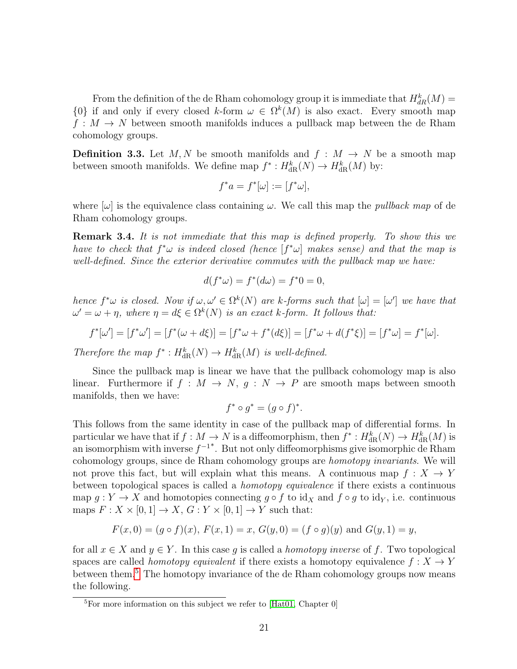From the definition of the de Rham cohomology group it is immediate that  $H_{dR}^k(M)$  =  $\{0\}$  if and only if every closed k-form  $\omega \in \Omega^k(M)$  is also exact. Every smooth map  $f: M \to N$  between smooth manifolds induces a pullback map between the de Rham cohomology groups.

<span id="page-24-0"></span>**Definition 3.3.** Let M, N be smooth manifolds and  $f : M \to N$  be a smooth map between smooth manifolds. We define map  $f^*: H^k_{\text{dR}}(N) \to H^k_{\text{dR}}(M)$  by:

$$
f^*a = f^*[\omega] := [f^*\omega],
$$

where  $[\omega]$  is the equivalence class containing  $\omega$ . We call this map the *pullback map* of de Rham cohomology groups.

Remark 3.4. It is not immediate that this map is defined properly. To show this we have to check that  $f^*\omega$  is indeed closed (hence  $[f^*\omega]$  makes sense) and that the map is well-defined. Since the exterior derivative commutes with the pullback map we have:

$$
d(f^*\omega) = f^*(d\omega) = f^*0 = 0,
$$

hence  $f^*\omega$  is closed. Now if  $\omega, \omega' \in \Omega^k(N)$  are k-forms such that  $[\omega] = [\omega']$  we have that  $\omega' = \omega + \eta$ , where  $\eta = d\xi \in \Omega^k(N)$  is an exact k-form. It follows that:

$$
f^*[\omega'] = [f^*\omega'] = [f^*(\omega + d\xi)] = [f^*\omega + f^*(d\xi)] = [f^*\omega + d(f^*\xi)] = [f^*\omega] = f^*[\omega].
$$

Therefore the map  $f^*: H^k_{\text{dR}}(N) \to H^k_{\text{dR}}(M)$  is well-defined.

Since the pullback map is linear we have that the pullback cohomology map is also linear. Furthermore if  $f : M \to N$ ,  $g : N \to P$  are smooth maps between smooth manifolds, then we have:

$$
f^* \circ g^* = (g \circ f)^*.
$$

This follows from the same identity in case of the pullback map of differential forms. In particular we have that if  $f: M \to N$  is a diffeomorphism, then  $f^*: H^k_{\text{dR}}(N) \to H^k_{\text{dR}}(M)$  is an isomorphism with inverse  $f^{-1}$ <sup>\*</sup>. But not only diffeomorphisms give isomorphic de Rham cohomology groups, since de Rham cohomology groups are homotopy invariants. We will not prove this fact, but will explain what this means. A continuous map  $f: X \to Y$ between topological spaces is called a homotopy equivalence if there exists a continuous map  $g: Y \to X$  and homotopies connecting  $g \circ f$  to id<sub>X</sub> and  $f \circ g$  to id<sub>Y</sub>, i.e. continuous maps  $F: X \times [0,1] \to X$ ,  $G: Y \times [0,1] \to Y$  such that:

$$
F(x, 0) = (g \circ f)(x), F(x, 1) = x, G(y, 0) = (f \circ g)(y)
$$
 and  $G(y, 1) = y$ ,

for all  $x \in X$  and  $y \in Y$ . In this case q is called a *homotopy inverse* of f. Two topological spaces are called *homotopy equivalent* if there exists a homotopy equivalence  $f : X \to Y$ between them.[5](#page-24-1) The homotopy invariance of the de Rham cohomology groups now means the following.

<span id="page-24-2"></span><span id="page-24-1"></span> ${}^{5}$ For more information on this subject we refer to [\[Hat01,](#page-43-5) Chapter 0]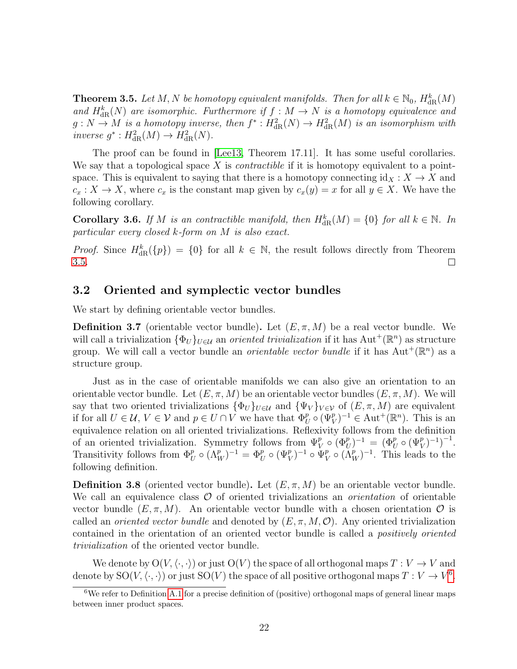**Theorem 3.5.** Let M, N be homotopy equivalent manifolds. Then for all  $k \in \mathbb{N}_0$ ,  $H_{\text{dR}}^k(M)$ and  $H_{dR}^{k}(N)$  are isomorphic. Furthermore if  $f : M \to N$  is a homotopy equivalence and  $g: N \to M$  is a homotopy inverse, then  $f^*: H^2_{\text{dR}}(N) \to H^2_{\text{dR}}(M)$  is an isomorphism with inverse  $g^*: H^2_{\text{dR}}(M) \to H^2_{\text{dR}}(N)$ .

The proof can be found in [\[Lee13,](#page-43-4) Theorem 17.11]. It has some useful corollaries. We say that a topological space X is *contractible* if it is homotopy equivalent to a pointspace. This is equivalent to saying that there is a homotopy connecting  $id_X : X \to X$  and  $c_x: X \to X$ , where  $c_x$  is the constant map given by  $c_x(y) = x$  for all  $y \in X$ . We have the following corollary.

**Corollary 3.6.** If M is an contractible manifold, then  $H_{\text{dR}}^{k}(M) = \{0\}$  for all  $k \in \mathbb{N}$ . In particular every closed k-form on M is also exact.

*Proof.* Since  $H_{\text{dR}}^k({p}) = {0}$  for all  $k \in \mathbb{N}$ , the result follows directly from Theorem [3.5.](#page-24-2)  $\Box$ 

#### <span id="page-25-0"></span>3.2 Oriented and symplectic vector bundles

We start by defining orientable vector bundles.

**Definition 3.7** (orientable vector bundle). Let  $(E, \pi, M)$  be a real vector bundle. We will call a trivialization  $\{\Phi_U\}_{U\in\mathcal{U}}$  an *oriented trivialization* if it has  $\text{Aut}^+(\mathbb{R}^n)$  as structure group. We will call a vector bundle an *orientable vector bundle* if it has  $Aut^+(\mathbb{R}^n)$  as a structure group.

Just as in the case of orientable manifolds we can also give an orientation to an orientable vector bundle. Let  $(E, \pi, M)$  be an orientable vector bundles  $(E, \pi, M)$ . We will say that two oriented trivializations  ${\{\Phi_U\}}_{U \in \mathcal{U}}$  and  ${\{\Psi_V\}}_{V \in \mathcal{V}}$  of  $(E, \pi, M)$  are equivalent if for all  $U \in \mathcal{U}$ ,  $V \in \mathcal{V}$  and  $p \in U \cap V$  we have that  $\Phi_U^p \circ (\Psi_V^p)^{-1} \in \text{Aut}^+(\mathbb{R}^n)$ . This is an equivalence relation on all oriented trivializations. Reflexivity follows from the definition of an oriented trivialization. Symmetry follows from  $\Psi_V^p \circ (\Phi_U^p)^{-1} = (\Phi_U^p \circ (\Psi_V^p)^{-1})^{-1}$ . Transitivity follows from  $\Phi_U^p \circ (\Lambda_W^p)^{-1} = \Phi_U^p \circ (\Psi_V^p)^{-1} \circ \Psi_V^p$  $_V^p \circ (\Lambda_W^p)^{-1}$ . This leads to the following definition.

**Definition 3.8** (oriented vector bundle). Let  $(E, \pi, M)$  be an orientable vector bundle. We call an equivalence class  $O$  of oriented trivializations an *orientation* of orientable vector bundle  $(E, \pi, M)$ . An orientable vector bundle with a chosen orientation  $\mathcal O$  is called an *oriented vector bundle* and denoted by  $(E, \pi, M, \mathcal{O})$ . Any oriented trivialization contained in the orientation of an oriented vector bundle is called a positively oriented trivialization of the oriented vector bundle.

We denote by  $\mathrm{O}(V,\langle\cdot,\cdot\rangle)$  or just  $\mathrm{O}(V)$  the space of all orthogonal maps  $T:V\rightarrow V$  and denote by  $SO(V, \langle \cdot, \cdot \rangle)$  or just  $SO(V)$  the space of all positive orthogonal maps  $T : V \to V^6$  $T : V \to V^6$ .

<span id="page-25-1"></span> $6$ We refer to Definition [A.1](#page-41-2) for a precise definition of (positive) orthogonal maps of general linear maps between inner product spaces.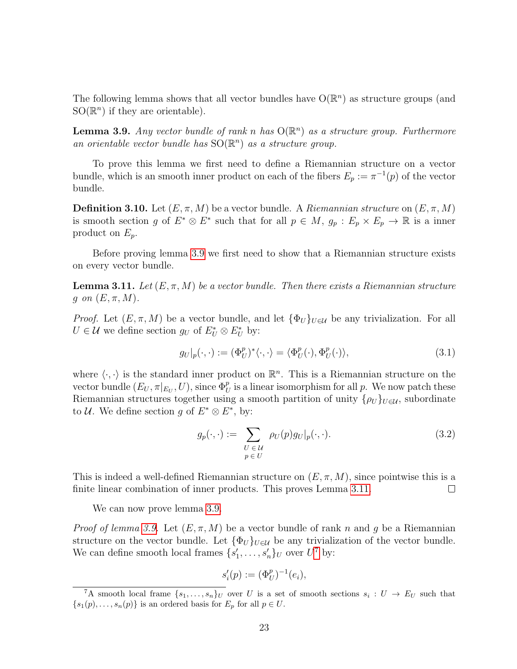The following lemma shows that all vector bundles have  $O(\mathbb{R}^n)$  as structure groups (and  $SO(\mathbb{R}^n)$  if they are orientable).

<span id="page-26-0"></span>**Lemma 3.9.** Any vector bundle of rank n has  $O(\mathbb{R}^n)$  as a structure group. Furthermore an orientable vector bundle has  $SO(\mathbb{R}^n)$  as a structure group.

To prove this lemma we first need to define a Riemannian structure on a vector bundle, which is an smooth inner product on each of the fibers  $E_p := \pi^{-1}(p)$  of the vector bundle.

**Definition 3.10.** Let  $(E, \pi, M)$  be a vector bundle. A Riemannian structure on  $(E, \pi, M)$ is smooth section g of  $E^* \otimes E^*$  such that for all  $p \in M$ ,  $g_p : E_p \times E_p \to \mathbb{R}$  is a inner product on  $E_p$ .

Before proving lemma [3.9](#page-26-0) we first need to show that a Riemannian structure exists on every vector bundle.

<span id="page-26-1"></span>**Lemma 3.11.** Let  $(E, \pi, M)$  be a vector bundle. Then there exists a Riemannian structure g on  $(E, \pi, M)$ .

*Proof.* Let  $(E, \pi, M)$  be a vector bundle, and let  $\{\Phi_U\}_{U \in \mathcal{U}}$  be any trivialization. For all  $U \in \mathcal{U}$  we define section  $g_U$  of  $E^*_{U} \otimes E^*_{U}$  by:

<span id="page-26-4"></span>
$$
g_U|_p(\cdot,\cdot) := (\Phi_U^p)^*\langle \cdot,\cdot \rangle = \langle \Phi_U^p(\cdot), \Phi_U^p(\cdot) \rangle, \tag{3.1}
$$

where  $\langle \cdot, \cdot \rangle$  is the standard inner product on  $\mathbb{R}^n$ . This is a Riemannian structure on the vector bundle  $(E_U, \pi|_{E_U}, U)$ , since  $\Phi_U^p$  is a linear isomorphism for all p. We now patch these Riemannian structures together using a smooth partition of unity  $\{\rho_U\}_{U\in\mathcal{U}}$ , subordinate to *U*. We define section g of  $E^* \otimes E^*$ , by:

<span id="page-26-3"></span>
$$
g_p(\cdot, \cdot) := \sum_{\substack{U \in \mathcal{U} \\ p \in U}} \rho_U(p) g_U|_p(\cdot, \cdot). \tag{3.2}
$$

This is indeed a well-defined Riemannian structure on  $(E, \pi, M)$ , since pointwise this is a finite linear combination of inner products. This proves Lemma [3.11.](#page-26-1)  $\Box$ 

We can now prove lemma [3.9.](#page-26-0)

*Proof of lemma [3.9.](#page-26-0)* Let  $(E, \pi, M)$  be a vector bundle of rank n and g be a Riemannian structure on the vector bundle. Let  ${\lbrace \Phi_{U} \rbrace}_{U \in \mathcal{U}}$  be any trivialization of the vector bundle. We can define smooth local frames  $\{s'_1, \ldots, s'_n\}_U$  over  $U^7$  $U^7$  by:

$$
s_i'(p) := (\Phi_U^p)^{-1}(e_i),
$$

<span id="page-26-2"></span><sup>&</sup>lt;sup>7</sup>A smooth local frame  $\{s_1,\ldots,s_n\}_U$  over U is a set of smooth sections  $s_i: U \to E_U$  such that  ${s_1(p), \ldots, s_n(p)}$  is an ordered basis for  $E_p$  for all  $p \in U$ .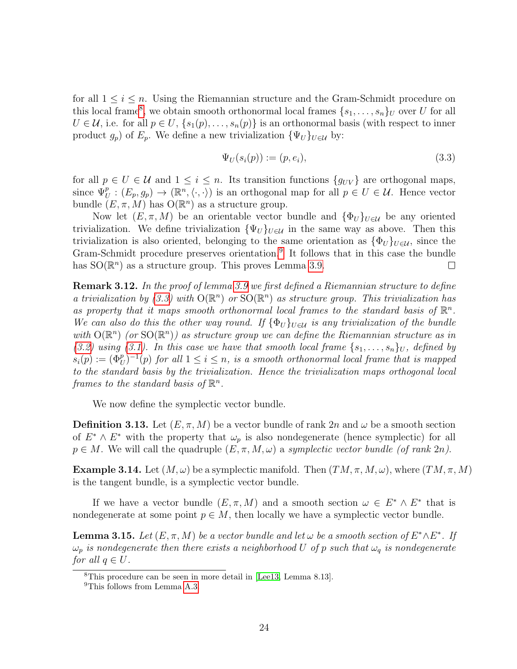for all  $1 \leq i \leq n$ . Using the Riemannian structure and the Gram-Schmidt procedure on this local frame<sup>[8](#page-27-0)</sup>, we obtain smooth orthonormal local frames  $\{s_1, \ldots, s_n\}_U$  over U for all  $U \in \mathcal{U}$ , i.e. for all  $p \in U$ ,  $\{s_1(p), \ldots, s_n(p)\}\$ is an orthonormal basis (with respect to inner product  $g_p$ ) of  $E_p$ . We define a new trivialization  $\{\Psi_U\}_{U\in\mathcal{U}}$  by:

<span id="page-27-2"></span>
$$
\Psi_U(s_i(p)) := (p, e_i),\tag{3.3}
$$

for all  $p \in U \in \mathcal{U}$  and  $1 \leq i \leq n$ . Its transition functions  $\{g_{UV}\}\$ are orthogonal maps, since  $\Psi_U^p : (E_p, g_p) \to (\mathbb{R}^n, \langle \cdot, \cdot \rangle)$  is an orthogonal map for all  $p \in U \in \mathcal{U}$ . Hence vector bundle  $(E, \pi, M)$  has  $O(\mathbb{R}^n)$  as a structure group.

Now let  $(E, \pi, M)$  be an orientable vector bundle and  $\{\Phi_U\}_{U \in \mathcal{U}}$  be any oriented trivialization. We define trivialization  ${\Psi_U}_{U \in U}$  in the same way as above. Then this trivialization is also oriented, belonging to the same orientation as  ${\lbrace \Phi_U \rbrace}_{U \in \mathcal{U}}$ , since the Gram-Schmidt procedure preserves orientation.<sup>[9](#page-27-1)</sup> It follows that in this case the bundle has  $SO(\mathbb{R}^n)$  as a structure group. This proves Lemma [3.9.](#page-26-0)  $\Box$ 

<span id="page-27-4"></span>**Remark 3.12.** In the proof of lemma [3.9](#page-26-0) we first defined a Riemannian structure to define a trivialization by [\(3.3\)](#page-27-2) with  $O(\mathbb{R}^n)$  or  $SO(\mathbb{R}^n)$  as structure group. This trivialization has as property that it maps smooth orthonormal local frames to the standard basis of  $\mathbb{R}^n$ . We can also do this the other way round. If  $\{\Phi_U\}_{U\in\mathcal{U}}$  is any trivialization of the bundle with  $O(\mathbb{R}^n)$  (or  $SO(\mathbb{R}^n)$ ) as structure group we can define the Riemannian structure as in [\(3.2\)](#page-26-3) using [\(3.1\)](#page-26-4). In this case we have that smooth local frame  $\{s_1, \ldots, s_n\}_U$ , defined by  $s_i(p) := (\Phi_U^p)^{-1}(p)$  for all  $1 \leq i \leq n$ , is a smooth orthonormal local frame that is mapped to the standard basis by the trivialization. Hence the trivialization maps orthogonal local frames to the standard basis of  $\mathbb{R}^n$ .

We now define the symplectic vector bundle.

**Definition 3.13.** Let  $(E, \pi, M)$  be a vector bundle of rank 2n and  $\omega$  be a smooth section of  $E^* \wedge E^*$  with the property that  $\omega_p$  is also nondegenerate (hence symplectic) for all  $p \in M$ . We will call the quadruple  $(E, \pi, M, \omega)$  a symplectic vector bundle (of rank 2n).

**Example 3.14.** Let  $(M, \omega)$  be a symplectic manifold. Then  $(TM, \pi, M, \omega)$ , where  $(TM, \pi, M)$ is the tangent bundle, is a symplectic vector bundle.

If we have a vector bundle  $(E, \pi, M)$  and a smooth section  $\omega \in E^* \wedge E^*$  that is nondegenerate at some point  $p \in M$ , then locally we have a symplectic vector bundle.

<span id="page-27-3"></span>**Lemma 3.15.** Let  $(E, \pi, M)$  be a vector bundle and let  $\omega$  be a smooth section of  $E^* \wedge E^*$ . If  $\omega_p$  is nondegenerate then there exists a neighborhood U of p such that  $\omega_q$  is nondegenerate for all  $q \in U$ .

<span id="page-27-0"></span><sup>8</sup>This procedure can be seen in more detail in [\[Lee13,](#page-43-4) Lemma 8.13].

<span id="page-27-1"></span><sup>&</sup>lt;sup>9</sup>This follows from Lemma [A.3.](#page-41-3)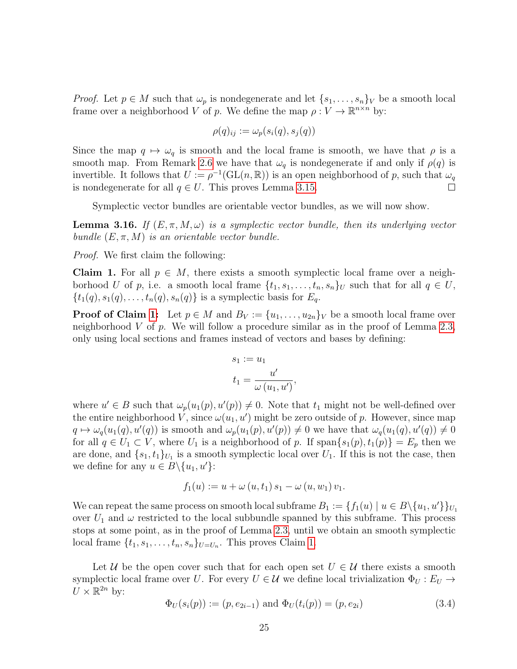*Proof.* Let  $p \in M$  such that  $\omega_p$  is nondegenerate and let  $\{s_1, \ldots, s_n\}_V$  be a smooth local frame over a neighborhood V of p. We define the map  $\rho: V \to \mathbb{R}^{n \times n}$  by:

$$
\rho(q)_{ij} := \omega_p(s_i(q), s_j(q))
$$

Since the map  $q \mapsto \omega_q$  is smooth and the local frame is smooth, we have that  $\rho$  is a smooth map. From Remark [2.6](#page-8-2) we have that  $\omega_q$  is nondegenerate if and only if  $\rho(q)$  is invertible. It follows that  $U := \rho^{-1}(\mathrm{GL}(n, \mathbb{R}))$  is an open neighborhood of p, such that  $\omega_q$ is nondegenerate for all  $q \in U$ . This proves Lemma [3.15.](#page-27-3) П

Symplectic vector bundles are orientable vector bundles, as we will now show.

<span id="page-28-0"></span>**Lemma 3.16.** If  $(E, \pi, M, \omega)$  is a symplectic vector bundle, then its underlying vector bundle  $(E, \pi, M)$  is an orientable vector bundle.

Proof. We first claim the following:

**Claim 1.** For all  $p \in M$ , there exists a smooth symplectic local frame over a neighborhood U of p, i.e. a smooth local frame  $\{t_1, s_1, \ldots, t_n, s_n\}_U$  such that for all  $q \in U$ ,  $\{t_1(q), s_1(q), \ldots, t_n(q), s_n(q)\}\$ is a symplectic basis for  $E_q$ .

**Proof of Claim [1:](#page-12-1)** Let  $p \in M$  and  $B_V := \{u_1, \ldots, u_{2n}\}$  be a smooth local frame over neighborhood V of p. We will follow a procedure similar as in the proof of Lemma [2.3,](#page-7-5) only using local sections and frames instead of vectors and bases by defining:

$$
s_1 := u_1
$$
  

$$
t_1 = \frac{u'}{\omega(u_1, u')},
$$

where  $u' \in B$  such that  $\omega_p(u_1(p), u'(p)) \neq 0$ . Note that  $t_1$  might not be well-defined over the entire neighborhood V, since  $\omega(u_1, u')$  might be zero outside of p. However, since map  $q \mapsto \omega_q(u_1(q), u'(q))$  is smooth and  $\omega_p(u_1(p), u'(p)) \neq 0$  we have that  $\omega_q(u_1(q), u'(q)) \neq 0$ for all  $q \in U_1 \subset V$ , where  $U_1$  is a neighborhood of p. If  $\text{span}\{s_1(p), t_1(p)\} = E_p$  then we are done, and  $\{s_1, t_1\}_{U_1}$  is a smooth symplectic local over  $U_1$ . If this is not the case, then we define for any  $u \in B \setminus \{u_1, u'\}$ :

$$
f_1(u) := u + \omega(u, t_1) s_1 - \omega(u, w_1) v_1.
$$

We can repeat the same process on smooth local subframe  $B_1 := \{f_1(u) \mid u \in B \setminus \{u_1, u'\}\}_{U_1}$ over  $U_1$  and  $\omega$  restricted to the local subbundle spanned by this subframe. This process stops at some point, as in the proof of Lemma [2.3,](#page-7-5) until we obtain an smooth symplectic local frame  $\{t_1, s_1, \ldots, t_n, s_n\}_{U=U_n}$ . This proves Claim [1.](#page-12-1)

Let U be the open cover such that for each open set  $U \in \mathcal{U}$  there exists a smooth symplectic local frame over U. For every  $U \in \mathcal{U}$  we define local trivialization  $\Phi_U : E_U \to$  $U \times \mathbb{R}^{2n}$  by:

$$
\Phi_U(s_i(p)) := (p, e_{2i-1}) \text{ and } \Phi_U(t_i(p)) = (p, e_{2i})
$$
\n(3.4)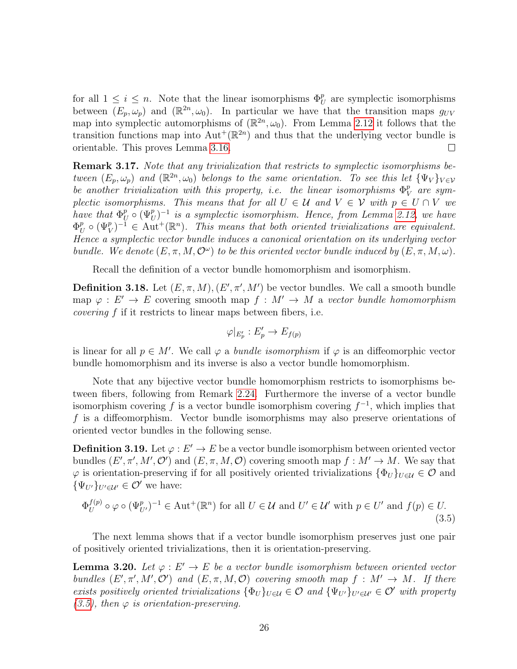for all  $1 \leq i \leq n$ . Note that the linear isomorphisms  $\Phi_U^p$  are symplectic isomorphisms between  $(E_p, \omega_p)$  and  $(\mathbb{R}^{2n}, \omega_0)$ . In particular we have that the transition maps  $g_{UV}$ map into symplectic automorphisms of  $(\mathbb{R}^{2n}, \omega_0)$ . From Lemma [2.12](#page-12-2) it follows that the transition functions map into  $\text{Aut}^+(\mathbb{R}^{2n})$  and thus that the underlying vector bundle is orientable. This proves Lemma [3.16.](#page-28-0)  $\Box$ 

<span id="page-29-2"></span>Remark 3.17. Note that any trivialization that restricts to symplectic isomorphisms between  $(E_p, \omega_p)$  and  $(\mathbb{R}^{2n}, \omega_0)$  belongs to the same orientation. To see this let  $\{\Psi_V\}_{V \in \mathcal{V}}$ be another trivialization with this property, i.e. the linear isomorphisms  $\Phi_{\nu}^{p}$  $^p_V$  are symplectic isomorphisms. This means that for all  $U \in \mathcal{U}$  and  $V \in \mathcal{V}$  with  $p \in U \cap V$  we have that  $\Phi_l^p$  $_U^p \circ (\Psi_U^p)^{-1}$  is a symplectic isomorphism. Hence, from Lemma [2.12,](#page-12-2) we have  $\Phi_l^p$  $U^p$   $\circ$   $(\Psi^p_V)^{-1} \in \text{Aut}^+(\mathbb{R}^n)$ . This means that both oriented trivializations are equivalent. Hence a symplectic vector bundle induces a canonical orientation on its underlying vector bundle. We denote  $(E, \pi, M, \mathcal{O}^{\omega})$  to be this oriented vector bundle induced by  $(E, \pi, M, \omega)$ .

Recall the definition of a vector bundle homomorphism and isomorphism.

**Definition 3.18.** Let  $(E, \pi, M), (E', \pi', M')$  be vector bundles. We call a smooth bundle map  $\varphi : E' \to E$  covering smooth map  $f : M' \to M$  a vector bundle homomorphism covering f if it restricts to linear maps between fibers, i.e.

$$
\varphi|_{E'_p}: E'_p \to E_{f(p)}
$$

is linear for all  $p \in M'$ . We call  $\varphi$  a *bundle isomorphism* if  $\varphi$  is an diffeomorphic vector bundle homomorphism and its inverse is also a vector bundle homomorphism.

Note that any bijective vector bundle homomorphism restricts to isomorphisms between fibers, following from Remark [2.24.](#page-17-1) Furthermore the inverse of a vector bundle isomorphism covering f is a vector bundle isomorphism covering  $f^{-1}$ , which implies that f is a diffeomorphism. Vector bundle isomorphisms may also preserve orientations of oriented vector bundles in the following sense.

**Definition 3.19.** Let  $\varphi : E' \to E$  be a vector bundle isomorphism between oriented vector bundles  $(E', \pi', M', \mathcal{O}')$  and  $(E, \pi, M, \mathcal{O})$  covering smooth map  $f : M' \to M$ . We say that  $\varphi$  is orientation-preserving if for all positively oriented trivializations  $\{\Phi_U\}_{U\in\mathcal{U}}\in\mathcal{O}$  and  $\{\Psi_{U'}\}_{U'\in\mathcal{U}'}\in\mathcal{O}'$  we have:

<span id="page-29-0"></span>
$$
\Phi_U^{f(p)} \circ \varphi \circ (\Psi_{U'}^p)^{-1} \in \text{Aut}^+(\mathbb{R}^n) \text{ for all } U \in \mathcal{U} \text{ and } U' \in \mathcal{U}' \text{ with } p \in U' \text{ and } f(p) \in U. \tag{3.5}
$$

The next lemma shows that if a vector bundle isomorphism preserves just one pair of positively oriented trivializations, then it is orientation-preserving.

<span id="page-29-1"></span>**Lemma 3.20.** Let  $\varphi : E' \to E$  be a vector bundle isomorphism between oriented vector bundles  $(E', \pi', M', \mathcal{O}')$  and  $(E, \pi, M, \mathcal{O})$  covering smooth map  $f : M' \to M$ . If there exists positively oriented trivializations  $\{\Phi_U\}_{U\in\mathcal{U}}\in\mathcal{O}$  and  $\{\Psi_{U'}\}_{U'\in\mathcal{U}'}\in\mathcal{O}'$  with property  $(3.5)$ , then  $\varphi$  is orientation-preserving.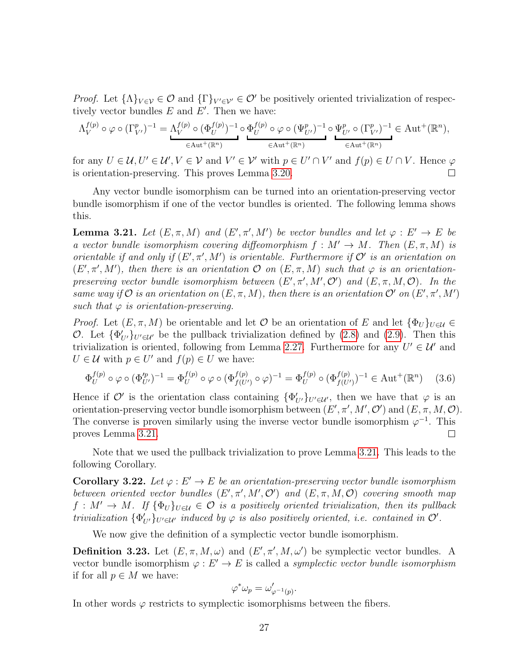*Proof.* Let  $\{\Lambda\}_{V\in\mathcal{V}}\in\mathcal{O}$  and  $\{\Gamma\}_{V'\in\mathcal{V}'}\in\mathcal{O}'$  be positively oriented trivialization of respectively vector bundles  $E$  and  $E'$ . Then we have:

$$
\Lambda_V^{f(p)} \circ \varphi \circ (\Gamma_{V'}^p)^{-1} = \Lambda_V^{f(p)} \circ (\Phi_U^{f(p)})^{-1} \circ \Phi_U^{f(p)} \circ \varphi \circ (\Psi_{U'}^p)^{-1} \circ \Psi_{U'}^p \circ (\Gamma_{V'}^p)^{-1} \in \text{Aut}^+(\mathbb{R}^n),
$$
  

$$
\in \text{Aut}^+(\mathbb{R}^n) \qquad \in \text{Aut}^+(\mathbb{R}^n)
$$

for any  $U \in \mathcal{U}, U' \in \mathcal{U}', V \in \mathcal{V}$  and  $V' \in \mathcal{V}'$  with  $p \in U \cap V'$  and  $f(p) \in U \cap V$ . Hence  $\varphi$ is orientation-preserving. This proves Lemma [3.20.](#page-29-1)  $\Box$ 

Any vector bundle isomorphism can be turned into an orientation-preserving vector bundle isomorphism if one of the vector bundles is oriented. The following lemma shows this.

<span id="page-30-0"></span>**Lemma 3.21.** Let  $(E, \pi, M)$  and  $(E', \pi', M')$  be vector bundles and let  $\varphi : E' \to E$  be a vector bundle isomorphism covering diffeomorphism  $f : M' \to M$ . Then  $(E, \pi, M)$  is orientable if and only if  $(E', \pi', M')$  is orientable. Furthermore if  $\mathcal{O}'$  is an orientation on  $(E', \pi', M')$ , then there is an orientation  $\mathcal O$  on  $(E, \pi, M)$  such that  $\varphi$  is an orientationpreserving vector bundle isomorphism between  $(E', \pi', M', \mathcal{O}')$  and  $(E, \pi, M, \mathcal{O})$ . In the same way if  $O$  is an orientation on  $(E, \pi, M)$ , then there is an orientation  $O'$  on  $(E', \pi', M')$ such that  $\varphi$  is orientation-preserving.

*Proof.* Let  $(E, \pi, M)$  be orientable and let O be an orientation of E and let  $\{\Phi_U\}_{U\in\mathcal{U}}\in$ O. Let  $\{\Phi'_{U'}\}_{U' \in \mathcal{U}'}$  be the pullback trivialization defined by [\(2.8\)](#page-18-0) and [\(2.9\)](#page-18-1). Then this trivialization is oriented, following from Lemma [2.27.](#page-19-1) Furthermore for any  $U' \in \mathcal{U}'$  and  $U \in \mathcal{U}$  with  $p \in U'$  and  $f(p) \in U$  we have:

$$
\Phi_U^{f(p)} \circ \varphi \circ (\Phi_{U'}^{p})^{-1} = \Phi_U^{f(p)} \circ \varphi \circ (\Phi_{f(U')}^{f(p)} \circ \varphi)^{-1} = \Phi_U^{f(p)} \circ (\Phi_{f(U')}^{f(p)})^{-1} \in \text{Aut}^+(\mathbb{R}^n) \tag{3.6}
$$

Hence if  $\mathcal{O}'$  is the orientation class containing  $\{\Phi'_{U'}\}_{U'\in\mathcal{U}'}$ , then we have that  $\varphi$  is an orientation-preserving vector bundle isomorphism between  $(E', \pi', M', \mathcal{O}')$  and  $(E, \pi, M, \mathcal{O})$ . The converse is proven similarly using the inverse vector bundle isomorphism  $\varphi^{-1}$ . This proves Lemma [3.21.](#page-30-0)  $\Box$ 

Note that we used the pullback trivialization to prove Lemma [3.21.](#page-30-0) This leads to the following Corollary.

<span id="page-30-1"></span>**Corollary 3.22.** Let  $\varphi : E' \to E$  be an orientation-preserving vector bundle isomorphism between oriented vector bundles  $(E', \pi', M', \mathcal{O}')$  and  $(E, \pi, M, \mathcal{O})$  covering smooth map  $f: M' \to M$ . If  $\{\Phi_U\}_{U \in \mathcal{U}} \in \mathcal{O}$  is a positively oriented trivialization, then its pullback trivialization  $\{\Phi'_{U'}\}_{U' \in \mathcal{U}'}$  induced by  $\varphi$  is also positively oriented, i.e. contained in  $\mathcal{O}'$ .

We now give the definition of a symplectic vector bundle isomorphism.

**Definition 3.23.** Let  $(E, \pi, M, \omega)$  and  $(E', \pi', M, \omega')$  be symplectic vector bundles. A vector bundle isomorphism  $\varphi : E' \to E$  is called a *symplectic vector bundle isomorphism* if for all  $p \in M$  we have:

$$
\varphi^* \omega_p = \omega'_{\varphi^{-1}(p)}.
$$

In other words  $\varphi$  restricts to symplectic isomorphisms between the fibers.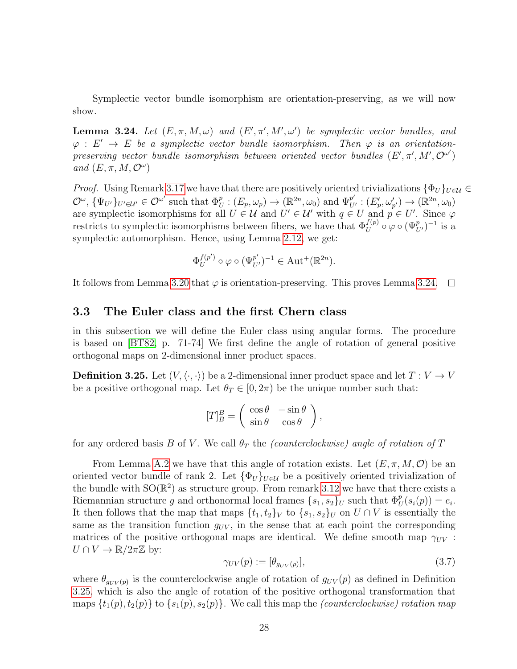Symplectic vector bundle isomorphism are orientation-preserving, as we will now show.

<span id="page-31-1"></span>**Lemma 3.24.** Let  $(E, \pi, M, \omega)$  and  $(E', \pi', M', \omega')$  be symplectic vector bundles, and  $\varphi : E' \to E$  be a symplectic vector bundle isomorphism. Then  $\varphi$  is an orientationpreserving vector bundle isomorphism between oriented vector bundles  $(E', \pi', M', \mathcal{O}^{\omega'})$ and  $(E, \pi, M, \mathcal{O}^{\omega})$ 

*Proof.* Using Remark [3.17](#page-29-2) we have that there are positively oriented trivializations  $\{\Phi_U\}_{U\in\mathcal{U}}\in$  $\mathcal{O}^{\omega}, \{\Psi_{U'}\}_{U' \in \mathcal{U}'} \in \mathcal{O}^{\omega'}$  such that  $\Phi_U^p : (E_p, \omega_p) \to (\mathbb{R}^{2n}, \omega_0)$  and  $\Psi_{U'}^{p'} : (E'_p, \omega'_{p'}) \to (\mathbb{R}^{2n}, \omega_0)$ are symplectic isomorphisms for all  $U \in \mathcal{U}$  and  $U' \in \mathcal{U}'$  with  $q \in U$  and  $p \in U'$ . Since  $\varphi$ restricts to symplectic isomorphisms between fibers, we have that  $\Phi_U^{f(p)} \circ \varphi \circ (\Psi_{U'}^p)^{-1}$  is a symplectic automorphism. Hence, using Lemma [2.12,](#page-12-2) we get:

$$
\Phi_U^{f(p')}\circ\varphi\circ(\Psi_{U'}^{p'})^{-1}\in\operatorname{Aut}^+(\mathbb{R}^{2n}).
$$

It follows from Lemma [3.20](#page-29-1) that  $\varphi$  is orientation-preserving. This proves Lemma [3.24.](#page-31-1)  $\Box$ 

### <span id="page-31-0"></span>3.3 The Euler class and the first Chern class

in this subsection we will define the Euler class using angular forms. The procedure is based on [\[BT82,](#page-43-1) p. 71-74] We first define the angle of rotation of general positive orthogonal maps on 2-dimensional inner product spaces.

<span id="page-31-2"></span>**Definition 3.25.** Let  $(V, \langle \cdot, \cdot \rangle)$  be a 2-dimensional inner product space and let  $T : V \to V$ be a positive orthogonal map. Let  $\theta_T \in [0, 2\pi)$  be the unique number such that:

$$
[T]_B^B = \begin{pmatrix} \cos \theta & -\sin \theta \\ \sin \theta & \cos \theta \end{pmatrix},
$$

for any ordered basis B of V. We call  $\theta_T$  the *(counterclockwise)* angle of rotation of T

From Lemma [A.2](#page-41-4) we have that this angle of rotation exists. Let  $(E, \pi, M, \mathcal{O})$  be an oriented vector bundle of rank 2. Let  ${\{\Phi_U\}}_{U\in\mathcal{U}}$  be a positively oriented trivialization of the bundle with  $SO(\mathbb{R}^2)$  as structure group. From remark [3.12](#page-27-4) we have that there exists a Riemannian structure g and orthonormal local frames  $\{s_1, s_2\}_U$  such that  $\Phi_U^p(s_i(p)) = e_i$ . It then follows that the map that maps  $\{t_1, t_2\}_V$  to  $\{s_1, s_2\}_U$  on  $U \cap V$  is essentially the same as the transition function  $g_{UV}$ , in the sense that at each point the corresponding matrices of the positive orthogonal maps are identical. We define smooth map  $\gamma_{UV}$ :  $U \cap V \to \mathbb{R}/2\pi\mathbb{Z}$  by:

<span id="page-31-3"></span>
$$
\gamma_{UV}(p) := [\theta_{g_{UV}(p)}],\tag{3.7}
$$

where  $\theta_{g_{UV}(p)}$  is the counterclockwise angle of rotation of  $g_{UV}(p)$  as defined in Definition [3.25,](#page-31-2) which is also the angle of rotation of the positive orthogonal transformation that maps  $\{t_1(p), t_2(p)\}\$ to  $\{s_1(p), s_2(p)\}\$ . We call this map the *(counterclockwise)* rotation map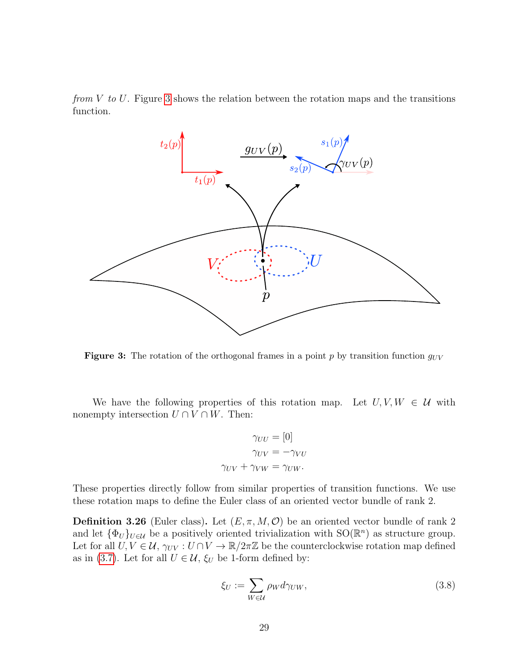from  $V$  to  $U$ . Figure [3](#page-32-0) shows the relation between the rotation maps and the transitions function.

<span id="page-32-0"></span>

Figure 3: The rotation of the orthogonal frames in a point p by transition function  $g_{UV}$ 

We have the following properties of this rotation map. Let  $U, V, W \in \mathcal{U}$  with nonempty intersection  $U \cap V \cap W$ . Then:

$$
\gamma_{UU} = [0]
$$

$$
\gamma_{UV} = -\gamma_{VU}
$$

$$
\gamma_{UV} + \gamma_{VW} = \gamma_{UW}.
$$

These properties directly follow from similar properties of transition functions. We use these rotation maps to define the Euler class of an oriented vector bundle of rank 2.

<span id="page-32-2"></span>**Definition 3.26** (Euler class). Let  $(E, \pi, M, \mathcal{O})$  be an oriented vector bundle of rank 2 and let  $\{\Phi_U\}_{U\in\mathcal{U}}$  be a positively oriented trivialization with  $SO(\mathbb{R}^n)$  as structure group. Let for all  $U, V \in \mathcal{U}$ ,  $\gamma_{UV}: U \cap V \to \mathbb{R}/2\pi\mathbb{Z}$  be the counterclockwise rotation map defined as in [\(3.7\)](#page-31-3). Let for all  $U \in \mathcal{U}$ ,  $\xi_U$  be 1-form defined by:

<span id="page-32-1"></span>
$$
\xi_U := \sum_{W \in \mathcal{U}} \rho_W d\gamma_{UW},\tag{3.8}
$$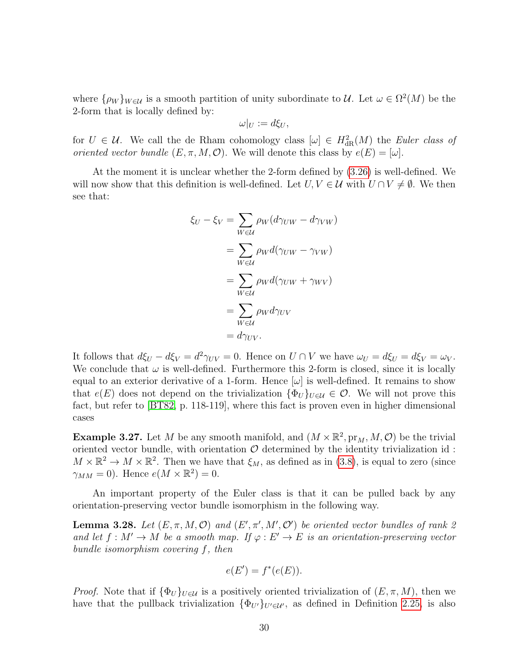where  $\{\rho_W\}_{W\in\mathcal{U}}$  is a smooth partition of unity subordinate to  $\mathcal{U}$ . Let  $\omega \in \Omega^2(M)$  be the 2-form that is locally defined by:

$$
\omega|_U := d\xi_U,
$$

for  $U \in \mathcal{U}$ . We call the de Rham cohomology class  $[\omega] \in H^2_{\text{dR}}(M)$  the Euler class of oriented vector bundle  $(E, \pi, M, \mathcal{O})$ . We will denote this class by  $e(E) = [\omega]$ .

At the moment it is unclear whether the 2-form defined by [\(3.26\)](#page-32-1) is well-defined. We will now show that this definition is well-defined. Let  $U, V \in \mathcal{U}$  with  $U \cap V \neq \emptyset$ . We then see that:

$$
\xi_U - \xi_V = \sum_{W \in \mathcal{U}} \rho_W (d\gamma_{UW} - d\gamma_{VW})
$$
  
= 
$$
\sum_{W \in \mathcal{U}} \rho_W d(\gamma_{UW} - \gamma_{VW})
$$
  
= 
$$
\sum_{W \in \mathcal{U}} \rho_W d(\gamma_{UW} + \gamma_{WV})
$$
  
= 
$$
\sum_{W \in \mathcal{U}} \rho_W d\gamma_{UV}
$$
  
= 
$$
d\gamma_{UV}.
$$

It follows that  $d\xi_U - d\xi_V = d^2\gamma_{UV} = 0$ . Hence on  $U \cap V$  we have  $\omega_U = d\xi_U = d\xi_V = \omega_V$ . We conclude that  $\omega$  is well-defined. Furthermore this 2-form is closed, since it is locally equal to an exterior derivative of a 1-form. Hence  $|\omega|$  is well-defined. It remains to show that  $e(E)$  does not depend on the trivialization  $\{\Phi_U\}_{U\in\mathcal{U}}\in\mathcal{O}$ . We will not prove this fact, but refer to [\[BT82,](#page-43-1) p. 118-119], where this fact is proven even in higher dimensional cases

**Example 3.27.** Let M be any smooth manifold, and  $(M \times \mathbb{R}^2, pr_M, M, \mathcal{O})$  be the trivial oriented vector bundle, with orientation  $O$  determined by the identity trivialization id:  $M \times \mathbb{R}^2 \to M \times \mathbb{R}^2$ . Then we have that  $\xi_M$ , as defined as in [\(3.8\)](#page-32-1), is equal to zero (since  $\gamma_{MM} = 0$ ). Hence  $e(M \times \mathbb{R}^2) = 0$ .

An important property of the Euler class is that it can be pulled back by any orientation-preserving vector bundle isomorphism in the following way.

<span id="page-33-0"></span>**Lemma 3.28.** Let  $(E, \pi, M, \mathcal{O})$  and  $(E', \pi', M', \mathcal{O}')$  be oriented vector bundles of rank 2 and let  $f : M' \to M$  be a smooth map. If  $\varphi : E' \to E$  is an orientation-preserving vector bundle isomorphism covering f, then

$$
e(E') = f^*(e(E)).
$$

*Proof.* Note that if  $\{\Phi_U\}_{U\in\mathcal{U}}$  is a positively oriented trivialization of  $(E, \pi, M)$ , then we have that the pullback trivialization  $\{\Phi_{U'}\}_{U'\in\mathcal{U}'}$ , as defined in Definition [2.25,](#page-17-2) is also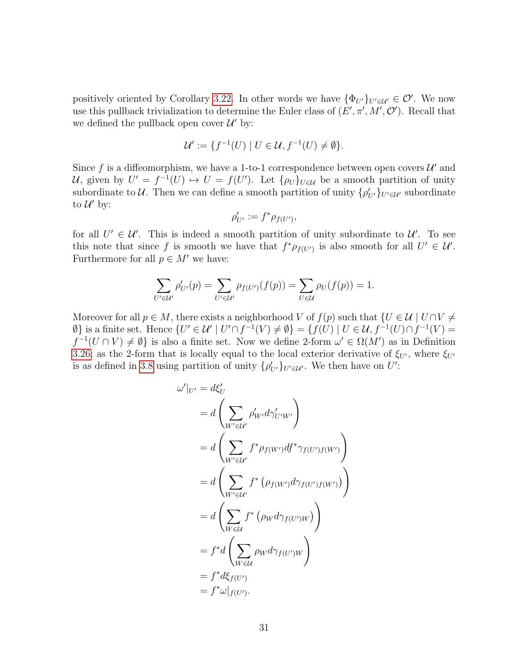positively oriented by Corollary [3.22.](#page-30-1) In other words we have  $\{\Phi_{U'}\}_{U'\in\mathcal{U}'}\in\mathcal{O}'$ . We now use this pullback trivialization to determine the Euler class of  $(E', \pi', M', \mathcal{O}')$ . Recall that we defined the pullback open cover  $\mathcal{U}'$  by:

$$
\mathcal{U}' := \{ f^{-1}(U) \mid U \in \mathcal{U}, f^{-1}(U) \neq \emptyset \}.
$$

Since f is a diffeomorphism, we have a 1-to-1 correspondence between open covers  $\mathcal{U}'$  and U, given by  $U' = f^{-1}(U) \mapsto U = f(U')$ . Let  $\{\rho_U\}_{U \in \mathcal{U}}$  be a smooth partition of unity subordinate to U. Then we can define a smooth partition of unity  $\{\rho'_{U'}\}_{U' \in U'}$  subordinate to  $\mathcal{U}'$  by:

$$
\rho'_{U'} := f^* \rho_{f(U')},
$$

for all  $U' \in \mathcal{U}'$ . This is indeed a smooth partition of unity subordinate to  $\mathcal{U}'$ . To see this note that since f is smooth we have that  $f^*\rho_{f(U')}$  is also smooth for all  $U' \in \mathcal{U}'$ . Furthermore for all  $p \in M'$  we have:

$$
\sum_{U' \in \mathcal{U}'} \rho'_{U'}(p) = \sum_{U' \in \mathcal{U}'} \rho_{f(U')}(f(p)) = \sum_{U \in \mathcal{U}} \rho_U(f(p)) = 1.
$$

Moreover for all  $p \in M$ , there exists a neighborhood V of  $f(p)$  such that  $\{U \in \mathcal{U} \mid U \cap V \neq \emptyset\}$  $\emptyset$  is a finite set. Hence  $\{U' \in \mathcal{U} \mid U' \cap f^{-1}(V) \neq \emptyset\} = \{f(U) \mid U \in \mathcal{U}, f^{-1}(U) \cap f^{-1}(V) = 0\}$  $f^{-1}(U \cap V) \neq \emptyset$  is also a finite set. Now we define 2-form  $\omega' \in \Omega(M')$  as in Definition [3.26;](#page-32-2) as the 2-form that is locally equal to the local exterior derivative of  $\xi_{U}$ , where  $\xi_{U}$ is as defined in [3.8](#page-32-1) using partition of unity  $\{\rho'_{U'}\}_{U' \in U'}$ . We then have on U':

$$
\omega'|_{U'} = d\xi'_{U}
$$
\n
$$
= d\left(\sum_{W'\in\mathcal{U}} \rho'_{W'} d\gamma'_{U'W'}\right)
$$
\n
$$
= d\left(\sum_{W'\in\mathcal{U}'} f^* \rho_{f(W')} df^* \gamma_{f(U')f(W')}\right)
$$
\n
$$
= d\left(\sum_{W'\in\mathcal{U}'} f^* \left(\rho_{f(W')} d\gamma_{f(U')f(W')}\right)\right)
$$
\n
$$
= d\left(\sum_{W\in\mathcal{U}} f^* \left(\rho_W d\gamma_{f(U')W}\right)\right)
$$
\n
$$
= f^* d\left(\sum_{W\in\mathcal{U}} \rho_W d\gamma_{f(U')W}\right)
$$
\n
$$
= f^* d\xi_{f(U')}
$$
\n
$$
= f^* \omega|_{f(U')}.
$$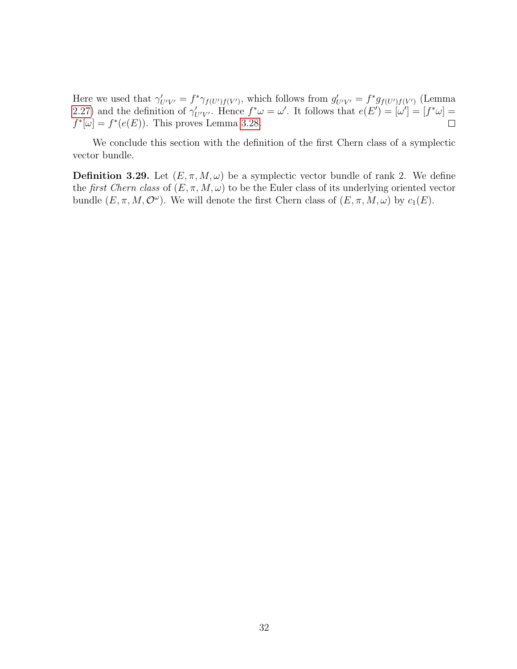Here we used that  $\gamma'_{U'V'} = f^* \gamma_{f(U')f(V')}$ , which follows from  $g'_{U'V'} = f^* g_{f(U')f(V')}$  (Lemma [2.27\)](#page-19-1) and the definition of  $\gamma'_{U'V'}$ . Hence  $f^*\omega = \omega'$ . It follows that  $e(E') = [\omega'] = [f^*\omega] =$  $f^*[\omega] = f^*(e(E))$ . This proves Lemma [3.28.](#page-33-0)  $\Box$ 

We conclude this section with the definition of the first Chern class of a symplectic vector bundle.

**Definition 3.29.** Let  $(E, \pi, M, \omega)$  be a symplectic vector bundle of rank 2. We define the first Chern class of  $(E, \pi, M, \omega)$  to be the Euler class of its underlying oriented vector bundle  $(E, \pi, M, \mathcal{O}^{\omega})$ . We will denote the first Chern class of  $(E, \pi, M, \omega)$  by  $c_1(E)$ .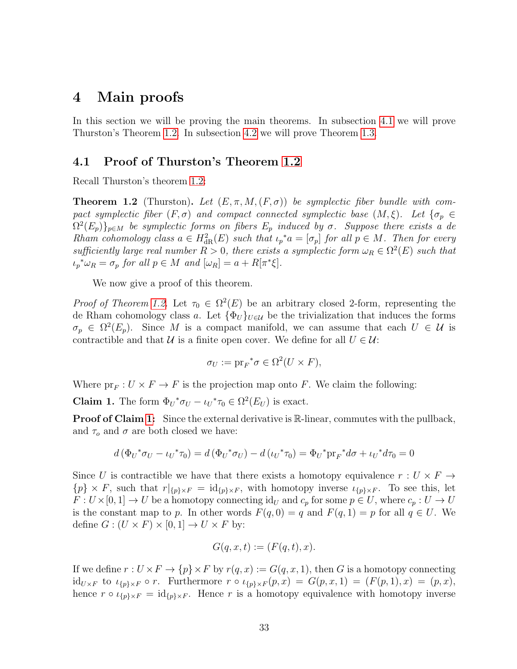## <span id="page-36-0"></span>4 Main proofs

In this section we will be proving the main theorems. In subsection [4.1](#page-36-1) we will prove Thurston's Theorem [1.2.](#page-6-1) In subsection [4.2](#page-40-0) we will prove Theorem [1.3.](#page-6-2)

#### <span id="page-36-1"></span>4.1 Proof of Thurston's Theorem [1.2](#page-6-1)

Recall Thurston's theorem [1.2:](#page-6-1)

**Theorem 1.2** (Thurston). Let  $(E, \pi, M, (F, \sigma))$  be symplectic fiber bundle with compact symplectic fiber  $(F, \sigma)$  and compact connected symplectic base  $(M, \xi)$ . Let  $\{\sigma_p \in$  $\Omega^2(E_p)\}_{p\in M}$  be symplectic forms on fibers  $E_p$  induced by  $\sigma$ . Suppose there exists a de Rham cohomology class  $a \in H^2_{\text{dR}}(E)$  such that  $\iota_p^* a = [\sigma_p]$  for all  $p \in M$ . Then for every sufficiently large real number  $R > 0$ , there exists a symplectic form  $\omega_R \in \Omega^2(E)$  such that  $\iota_p^* \omega_R = \sigma_p$  for all  $p \in M$  and  $[\omega_R] = a + R[\pi^* \xi].$ 

We now give a proof of this theorem.

*Proof of Theorem [1.2.](#page-6-1)* Let  $\tau_0 \in \Omega^2(E)$  be an arbitrary closed 2-form, representing the de Rham cohomology class a. Let  ${\{\Phi_U\}}_{U\in\mathcal{U}}$  be the trivialization that induces the forms  $\sigma_p \in \Omega^2(E_p)$ . Since M is a compact manifold, we can assume that each  $U \in \mathcal{U}$  is contractible and that U is a finite open cover. We define for all  $U \in \mathcal{U}$ :

$$
\sigma_U := \mathrm{pr}_F{}^* \sigma \in \Omega^2(U \times F),
$$

Where  $pr_F: U \times F \to F$  is the projection map onto F. We claim the following:

**Claim 1.** The form  $\Phi_U^* \sigma_U - \iota_U^* \tau_0 \in \Omega^2(E_U)$  is exact.

**Proof of Claim [1:](#page-12-1)** Since the external derivative is R-linear, commutes with the pullback, and  $\tau_o$  and  $\sigma$  are both closed we have:

$$
d(\Phi_U^* \sigma_U - \iota_U^* \tau_0) = d(\Phi_U^* \sigma_U) - d(\iota_U^* \tau_0) = \Phi_U^* \text{pr}_F^* d\sigma + \iota_U^* d\tau_0 = 0
$$

Since U is contractible we have that there exists a homotopy equivalence  $r: U \times F \rightarrow$  ${p} \times F$ , such that  $r|_{\{p\}\times F} = \mathrm{id}_{\{p\}\times F}$ , with homotopy inverse  $\iota_{\{p\}\times F}$ . To see this, let  $F: U \times [0,1] \to U$  be a homotopy connecting  $\mathrm{id}_U$  and  $c_p$  for some  $p \in U$ , where  $c_p: U \to U$ is the constant map to p. In other words  $F(q, 0) = q$  and  $F(q, 1) = p$  for all  $q \in U$ . We define  $G: (U \times F) \times [0,1] \to U \times F$  by:

$$
G(q, x, t) := (F(q, t), x).
$$

If we define  $r: U \times F \to \{p\} \times F$  by  $r(q, x) := G(q, x, 1)$ , then G is a homotopy connecting  $\mathrm{id}_{U\times F}$  to  $\iota_{\{p\}\times F}\circ r$ . Furthermore  $r\circ \iota_{\{p\}\times F}(p,x) = G(p,x,1) = (F(p,1),x) = (p,x),$ hence  $r \circ \iota_{\{p\} \times F} = \mathrm{id}_{\{p\} \times F}$ . Hence r is a homotopy equivalence with homotopy inverse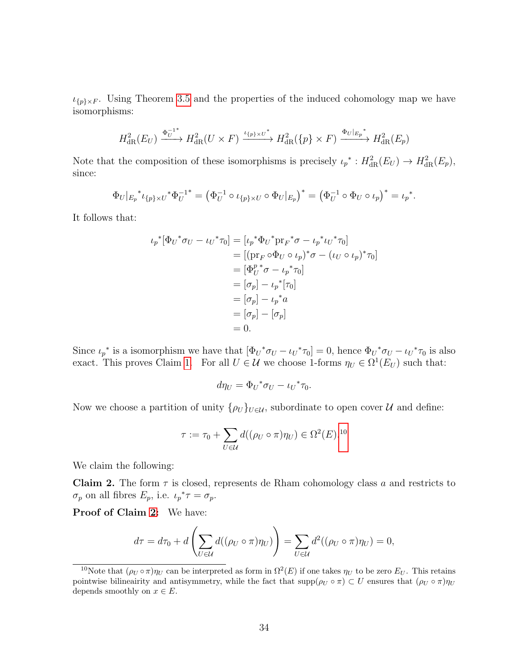$\iota_{\{p\}\times F}$ . Using Theorem [3.5](#page-24-2) and the properties of the induced cohomology map we have isomorphisms:

$$
H_{\text{dR}}^2(E_U) \xrightarrow{\Phi_U^{-1*}} H_{\text{dR}}^2(U \times F) \xrightarrow{\iota_{\{p\} \times U^*}} H_{\text{dR}}^2(\{p\} \times F) \xrightarrow{\Phi_U|_{E_p}^*} H_{\text{dR}}^2(E_p)
$$

Note that the composition of these isomorphisms is precisely  $\iota_p^* : H^2_{\text{dR}}(E_U) \to H^2_{\text{dR}}(E_p)$ , since:

$$
\Phi_U|_{E_p}^* \iota_{\{p\} \times U}^* \Phi_U^{-1*} = \left(\Phi_U^{-1} \circ \iota_{\{p\} \times U} \circ \Phi_U|_{E_p}\right)^* = \left(\Phi_U^{-1} \circ \Phi_U \circ \iota_p\right)^* = \iota_p^*.
$$

It follows that:

$$
\iota_p^*[\Phi_U^*\sigma_U - \iota_U^*\tau_0] = [\iota_p^*\Phi_U^*\mathrm{pr}_F^*\sigma - \iota_p^*\iota_U^*\tau_0]
$$
  
\n
$$
= [(\mathrm{pr}_F \circ \Phi_U \circ \iota_p)^*\sigma - (\iota_U \circ \iota_p)^*\tau_0]
$$
  
\n
$$
= [\Phi_U^p^*\sigma - \iota_p^*\tau_0]
$$
  
\n
$$
= [\sigma_p] - \iota_p^*[\sigma]
$$
  
\n
$$
= [\sigma_p] - \iota_p^*\sigma
$$
  
\n
$$
= [\sigma_p] - [\sigma_p]
$$
  
\n
$$
= 0.
$$

Since  $\iota_p^*$  is a isomorphism we have that  $[\Phi_U^* \sigma_U - \iota_U^* \tau_0] = 0$ , hence  $\Phi_U^* \sigma_U - \iota_U^* \tau_0$  is also exact. This proves Claim [1.](#page-12-1) For all  $U \in \mathcal{U}$  we choose 1-forms  $\eta_U \in \Omega^1(E_U)$  such that:

$$
d\eta_U = \Phi_U{}^* \sigma_U - \iota_U{}^* \tau_0.
$$

Now we choose a partition of unity  $\{\rho_U\}_{U\in\mathcal{U}}$ , subordinate to open cover  $\mathcal U$  and define:

$$
\tau := \tau_0 + \sum_{U \in \mathcal{U}} d((\rho_U \circ \pi)\eta_U) \in \Omega^2(E).^{10}
$$

We claim the following:

<span id="page-37-1"></span>**Claim 2.** The form  $\tau$  is closed, represents de Rham cohomology class a and restricts to  $\sigma_p$  on all fibres  $E_p$ , i.e.  $\iota_p^* \tau = \sigma_p$ .

Proof of Claim [2:](#page-37-1) We have:

$$
d\tau = d\tau_0 + d\left(\sum_{U \in \mathcal{U}} d((\rho_U \circ \pi)\eta_U)\right) = \sum_{U \in \mathcal{U}} d^2((\rho_U \circ \pi)\eta_U) = 0,
$$

<span id="page-37-0"></span><sup>&</sup>lt;sup>10</sup>Note that  $(\rho_U \circ \pi) \eta_U$  can be interpreted as form in  $\Omega^2(E)$  if one takes  $\eta_U$  to be zero  $E_U$ . This retains pointwise bilineairity and antisymmetry, while the fact that  $\text{supp}(\rho_U \circ \pi) \subset U$  ensures that  $(\rho_U \circ \pi) \eta_U$ depends smoothly on  $x \in E$ .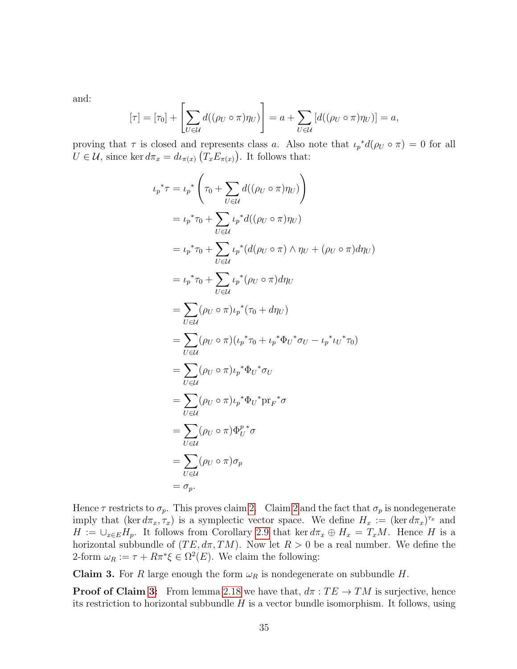and:

$$
[\tau] = [\tau_0] + \left[ \sum_{U \in \mathcal{U}} d((\rho_U \circ \pi) \eta_U) \right] = a + \sum_{U \in \mathcal{U}} \left[ d((\rho_U \circ \pi) \eta_U) \right] = a,
$$

proving that  $\tau$  is closed and represents class a. Also note that  $\iota_p^*d(\rho_U \circ \pi) = 0$  for all  $U \in \mathcal{U}$ , since ker  $d\pi_x = d\iota_{\pi(x)}(T_x E_{\pi(x)})$ . It follows that:

$$
\iota_p^* \tau = \iota_p^* \left( \tau_0 + \sum_{U \in \mathcal{U}} d((\rho_U \circ \pi) \eta_U) \right)
$$
  
\n
$$
= \iota_p^* \tau_0 + \sum_{U \in \mathcal{U}} \iota_p^* d((\rho_U \circ \pi) \eta_U)
$$
  
\n
$$
= \iota_p^* \tau_0 + \sum_{U \in \mathcal{U}} \iota_p^* (d(\rho_U \circ \pi) \wedge \eta_U + (\rho_U \circ \pi) d\eta_U)
$$
  
\n
$$
= \iota_p^* \tau_0 + \sum_{U \in \mathcal{U}} \iota_p^* (\rho_U \circ \pi) d\eta_U
$$
  
\n
$$
= \sum_{U \in \mathcal{U}} (\rho_U \circ \pi) \iota_p^* (\tau_0 + d\eta_U)
$$
  
\n
$$
= \sum_{U \in \mathcal{U}} (\rho_U \circ \pi) (\iota_p^* \tau_0 + \iota_p^* \Phi_U^* \sigma_U - \iota_p^* \iota_U^* \tau_0)
$$
  
\n
$$
= \sum_{U \in \mathcal{U}} (\rho_U \circ \pi) \iota_p^* \Phi_U^* \sigma_U
$$
  
\n
$$
= \sum_{U \in \mathcal{U}} (\rho_U \circ \pi) \Phi_U^* \sigma
$$
  
\n
$$
= \sum_{U \in \mathcal{U}} (\rho_U \circ \pi) \Phi_U^* \sigma
$$
  
\n
$$
= \sum_{U \in \mathcal{U}} (\rho_U \circ \pi) \sigma_p
$$
  
\n
$$
= \sigma_p.
$$

Hence  $\tau$  restricts to  $\sigma_p$ . This proves claim [2.](#page-37-1) Claim [2](#page-37-1) and the fact that  $\sigma_p$  is nondegenerate imply that  $(\ker d\pi_x, \tau_x)$  is a symplectic vector space. We define  $H_x := (\ker d\pi_x)^{\tau_x}$  and  $H := \bigcup_{x \in E} H_p$ . It follows from Corollary [2.9](#page-10-0) that ker  $d\pi_x \oplus H_x = T_xM$ . Hence H is a horizontal subbundle of  $(TE, d\pi, TM)$ . Now let  $R > 0$  be a real number. We define the 2-form  $\omega_R := \tau + R\pi^* \xi \in \Omega^2(E)$ . We claim the following:

<span id="page-38-0"></span>Claim 3. For R large enough the form  $\omega_R$  is nondegenerate on subbundle H.

**Proof of Claim [3:](#page-38-0)** From lemma [2.18](#page-15-0) we have that,  $d\pi : TE \rightarrow TM$  is surjective, hence its restriction to horizontal subbundle  $H$  is a vector bundle isomorphism. It follows, using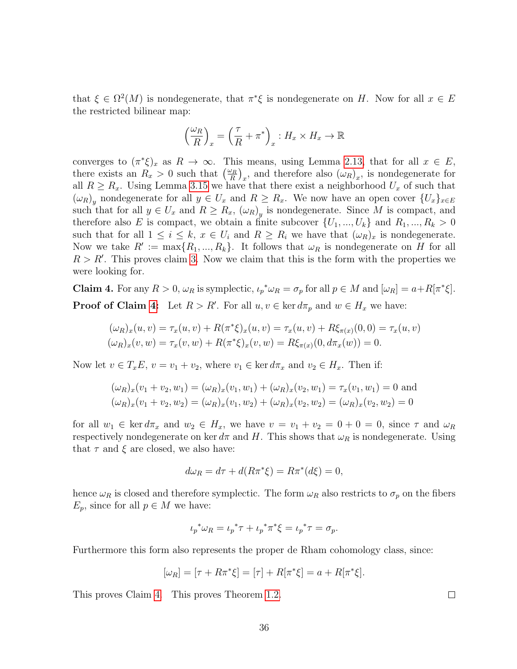that  $\xi \in \Omega^2(M)$  is nondegenerate, that  $\pi^* \xi$  is nondegenerate on H. Now for all  $x \in E$ the restricted bilinear map:

$$
\left(\frac{\omega_R}{R}\right)_x = \left(\frac{\tau}{R} + \pi^*\right)_x : H_x \times H_x \to \mathbb{R}
$$

converges to  $(\pi^*\xi)_x$  as  $R \to \infty$ . This means, using Lemma [2.13,](#page-13-2) that for all  $x \in E$ , there exists an  $R_x > 0$  such that  $\left(\frac{\omega_R}{R}\right)$  $\left(\frac{\partial R}{\partial R}\right)_x$ , and therefore also  $(\omega_R)_x$ , is nondegenerate for all  $R \ge R_x$ . Using Lemma [3.15](#page-27-3) we have that there exist a neighborhood  $U_x$  of such that  $(\omega_R)_y$  nondegenerate for all  $y \in U_x$  and  $R \ge R_x$ . We now have an open cover  $\{U_x\}_{x \in E}$ such that for all  $y \in U_x$  and  $R \geq R_x$ ,  $(\omega_R)_y$  is nondegenerate. Since M is compact, and therefore also E is compact, we obtain a finite subcover  $\{U_1, ..., U_k\}$  and  $R_1, ..., R_k > 0$ such that for all  $1 \leq i \leq k$ ,  $x \in U_i$  and  $R \geq R_i$  we have that  $(\omega_R)_x$  is nondegenerate. Now we take  $R' := \max\{R_1, ..., R_k\}$ . It follows that  $\omega_R$  is nondegenerate on H for all  $R > R'$ . This proves claim [3.](#page-38-0) Now we claim that this is the form with the properties we were looking for.

<span id="page-39-0"></span>**Claim 4.** For any  $R > 0$ ,  $\omega_R$  is symplectic,  $\iota_p^* \omega_R = \sigma_p$  for all  $p \in M$  and  $[\omega_R] = a + R[\pi^*\xi]$ . **Proof of Claim [4:](#page-39-0)** Let  $R > R'$ . For all  $u, v \in \text{ker } d\pi_p$  and  $w \in H_x$  we have:

$$
(\omega_R)_x(u, v) = \tau_x(u, v) + R(\pi^*\xi)_x(u, v) = \tau_x(u, v) + R\xi_{\pi(x)}(0, 0) = \tau_x(u, v)
$$
  

$$
(\omega_R)_x(v, w) = \tau_x(v, w) + R(\pi^*\xi)_x(v, w) = R\xi_{\pi(x)}(0, d\pi_x(w)) = 0.
$$

Now let  $v \in T_xE$ ,  $v = v_1 + v_2$ , where  $v_1 \in \text{ker } d\pi_x$  and  $v_2 \in H_x$ . Then if:

$$
(\omega_R)_x(v_1 + v_2, w_1) = (\omega_R)_x(v_1, w_1) + (\omega_R)_x(v_2, w_1) = \tau_x(v_1, w_1) = 0
$$
 and  

$$
(\omega_R)_x(v_1 + v_2, w_2) = (\omega_R)_x(v_1, w_2) + (\omega_R)_x(v_2, w_2) = (\omega_R)_x(v_2, w_2) = 0
$$

for all  $w_1 \in \ker d\pi_x$  and  $w_2 \in H_x$ , we have  $v = v_1 + v_2 = 0 + 0 = 0$ , since  $\tau$  and  $\omega_R$ respectively nondegenerate on ker  $d\pi$  and H. This shows that  $\omega_R$  is nondegenerate. Using that  $\tau$  and  $\xi$  are closed, we also have:

$$
d\omega_R = d\tau + d(R\pi^*\xi) = R\pi^*(d\xi) = 0,
$$

hence  $\omega_R$  is closed and therefore symplectic. The form  $\omega_R$  also restricts to  $\sigma_p$  on the fibers  $E_p$ , since for all  $p \in M$  we have:

$$
\iota_p^* \omega_R = \iota_p^* \tau + \iota_p^* \pi^* \xi = \iota_p^* \tau = \sigma_p.
$$

Furthermore this form also represents the proper de Rham cohomology class, since:

$$
[\omega_R] = [\tau + R\pi^*\xi] = [\tau] + R[\pi^*\xi] = a + R[\pi^*\xi].
$$

This proves Claim [4.](#page-39-0) This proves Theorem [1.2.](#page-6-1)

 $\Box$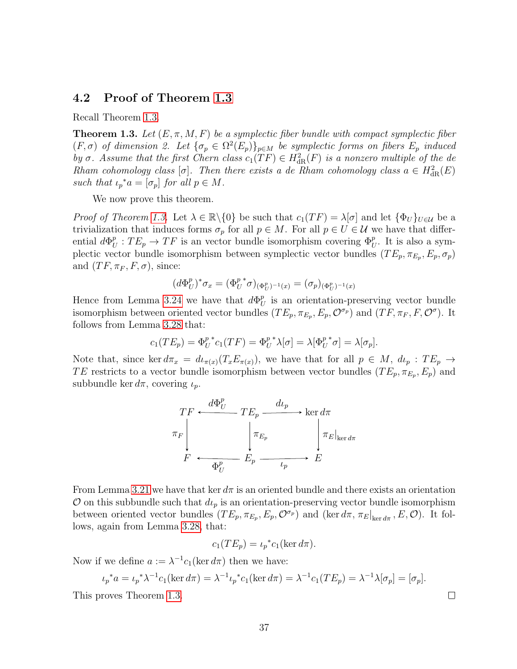#### <span id="page-40-0"></span>4.2 Proof of Theorem [1.3](#page-6-2)

Recall Theorem [1.3.](#page-6-2)

**Theorem 1.3.** Let  $(E, \pi, M, F)$  be a symplectic fiber bundle with compact symplectic fiber  $(F, \sigma)$  of dimension 2. Let  $\{\sigma_p \in \Omega^2(E_p)\}_{p \in M}$  be symplectic forms on fibers  $E_p$  induced by  $\sigma$ . Assume that the first Chern class  $c_1(TF) \in H^2_{\text{dR}}(F)$  is a nonzero multiple of the de Rham cohomology class [ $\sigma$ ]. Then there exists a de Rham cohomology class  $a \in H^2_{\text{dR}}(E)$ such that  $\iota_p^*a = [\sigma_p]$  for all  $p \in M$ .

We now prove this theorem.

*Proof of Theorem [1.3.](#page-6-2)* Let  $\lambda \in \mathbb{R} \setminus \{0\}$  be such that  $c_1(TF) = \lambda[\sigma]$  and let  $\{\Phi_U\}_{U \in \mathcal{U}}$  be a trivialization that induces forms  $\sigma_p$  for all  $p \in M$ . For all  $p \in U \in \mathcal{U}$  we have that differential  $d\Phi_l^p$  $U_U^p: TE_p \to TF$  is an vector bundle isomorphism covering  $\Phi_U^p$ . It is also a symplectic vector bundle isomorphism between symplectic vector bundles  $(TE_p, \pi_{E_p}, E_p, \sigma_p)$ and  $(TF, \pi_F, F, \sigma)$ , since:

$$
(d\Phi_U^p)^*\sigma_x=(\Phi_U^{p~*}\sigma)_{(\Phi_U^p)^{-1}(x)}=(\sigma_p)_{(\Phi_U^p)^{-1}(x)}
$$

Hence from Lemma [3.24](#page-31-1) we have that  $d\Phi_t^p$  $_U^p$  is an orientation-preserving vector bundle isomorphism between oriented vector bundles  $(TE_p, \pi_{E_p}, E_p, \mathcal{O}^{\sigma_p})$  and  $(TF, \pi_F, F, \mathcal{O}^{\sigma})$ . It follows from Lemma [3.28](#page-33-0) that:

$$
c_1(TE_p) = \Phi_U^{p*} c_1(TF) = \Phi_U^{p*} \lambda[\sigma] = \lambda[\Phi_U^{p*} \sigma] = \lambda[\sigma_p].
$$

Note that, since ker  $d\pi_x = d\iota_{\pi(x)}(T_x E_{\pi(x)})$ , we have that for all  $p \in M$ ,  $d\iota_p : TE_p \to$ TE restricts to a vector bundle isomorphism between vector bundles  $(TE_p, \pi_{E_p}, E_p)$  and subbundle ker  $d\pi$ , covering  $\iota_p$ .

$$
\begin{array}{ccc}\nTF & \xrightarrow{d\Phi_U^p} & TE_p & \xrightarrow{d\iota_p} & \ker d\pi \\
\pi_F & & \pi_{E_p} & \pi_E|_{\ker d\pi} \\
F & \xrightarrow{\Phi_U^p} & E_p & \xrightarrow{\iota_p} & E\n\end{array}
$$

From Lemma [3.21](#page-30-0) we have that ker  $d\pi$  is an oriented bundle and there exists an orientation  $\mathcal O$  on this subbundle such that  $d\iota_p$  is an orientation-preserving vector bundle isomorphism between oriented vector bundles  $(TE_p, \pi_{E_p}, E_p, \mathcal{O}^{\sigma_p})$  and  $(\ker d\pi, \pi_E|_{\ker d\pi}, E, \mathcal{O})$ . It follows, again from Lemma [3.28,](#page-33-0) that:

$$
c_1(TE_p) = \iota_p^* c_1(\ker d\pi).
$$

Now if we define  $a := \lambda^{-1} c_1(\ker d\pi)$  then we have:

$$
\iota_p^* a = \iota_p^* \lambda^{-1} c_1(\ker d\pi) = \lambda^{-1} \iota_p^* c_1(\ker d\pi) = \lambda^{-1} c_1(TE_p) = \lambda^{-1} \lambda[\sigma_p] = [\sigma_p].
$$
  
rows Theorem 1.3

 $\Box$ 

This proves Theorem [1.3.](#page-6-2)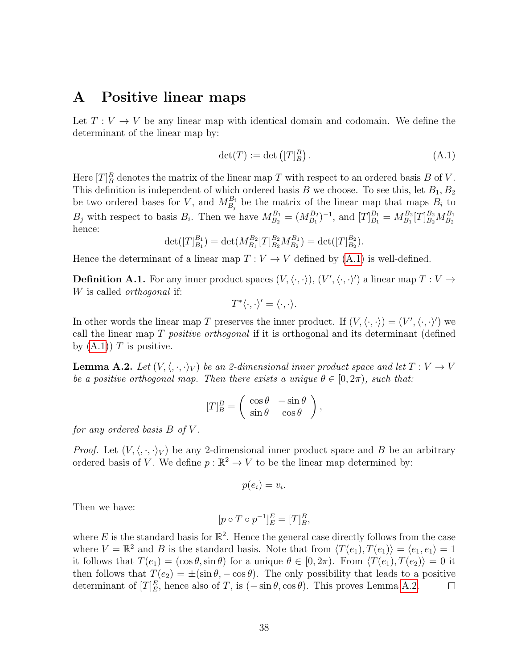## <span id="page-41-0"></span>A Positive linear maps

Let  $T: V \to V$  be any linear map with identical domain and codomain. We define the determinant of the linear map by:

<span id="page-41-1"></span>
$$
\det(T) := \det\left( [T]_B^B \right). \tag{A.1}
$$

Here  $[T]_B^B$  denotes the matrix of the linear map T with respect to an ordered basis B of V. This definition is independent of which ordered basis B we choose. To see this, let  $B_1, B_2$ be two ordered bases for V, and  $M_{B_j}^{B_i}$  be the matrix of the linear map that maps  $B_i$  to  $B_j$  with respect to basis  $B_i$ . Then we have  $M_{B_2}^{B_1} = (M_{B_1}^{B_2})^{-1}$ , and  $[T]_{B_1}^{B_1} = M_{B_1}^{B_2}[T]_{B_2}^{B_2}M_{B_2}^{B_1}$ hence:

$$
\det([T]_{B_1}^{B_1}) = \det(M_{B_1}^{B_2}[T]_{B_2}^{B_2}M_{B_2}^{B_1}) = \det([T]_{B_2}^{B_2}).
$$

<span id="page-41-2"></span>Hence the determinant of a linear map  $T: V \to V$  defined by  $(A.1)$  is well-defined.

**Definition A.1.** For any inner product spaces  $(V, \langle \cdot, \cdot \rangle), (V', \langle \cdot, \cdot \rangle')$  a linear map  $T : V \to$ W is called *orthogonal* if:

$$
T^*\langle \cdot, \cdot \rangle' = \langle \cdot, \cdot \rangle.
$$

In other words the linear map T preserves the inner product. If  $(V, \langle \cdot, \cdot \rangle) = (V', \langle \cdot, \cdot \rangle')$  we call the linear map  $T$  *positive orthogonal* if it is orthogonal and its determinant (defined by  $(A.1)$  T is positive.

<span id="page-41-4"></span>**Lemma A.2.** Let  $(V, \langle, \cdot, \cdot \rangle_V)$  be an 2-dimensional inner product space and let  $T : V \to V$ be a positive orthogonal map. Then there exists a unique  $\theta \in [0, 2\pi)$ , such that:

$$
[T]_B^B = \begin{pmatrix} \cos \theta & -\sin \theta \\ \sin \theta & \cos \theta \end{pmatrix},
$$

for any ordered basis  $B$  of  $V$ .

*Proof.* Let  $(V, \langle, \cdot, \cdot \rangle_V)$  be any 2-dimensional inner product space and B be an arbitrary ordered basis of V. We define  $p : \mathbb{R}^2 \to V$  to be the linear map determined by:

$$
p(e_i)=v_i
$$

.

Then we have:

$$
[p \circ T \circ p^{-1}]^E_E = [T]^B_B,
$$

<span id="page-41-3"></span>where E is the standard basis for  $\mathbb{R}^2$ . Hence the general case directly follows from the case where  $V = \mathbb{R}^2$  and B is the standard basis. Note that from  $\langle T(e_1), T(e_1) \rangle = \langle e_1, e_1 \rangle = 1$ it follows that  $T(e_1) = (\cos \theta, \sin \theta)$  for a unique  $\theta \in [0, 2\pi)$ . From  $\langle T(e_1), T(e_2) \rangle = 0$  it then follows that  $T(e_2) = \pm(\sin \theta, -\cos \theta)$ . The only possibility that leads to a positive determinant of  $[T]_E^E$ , hence also of T, is  $(-\sin \theta, \cos \theta)$ . This proves Lemma [A.2.](#page-41-4)  $\Box$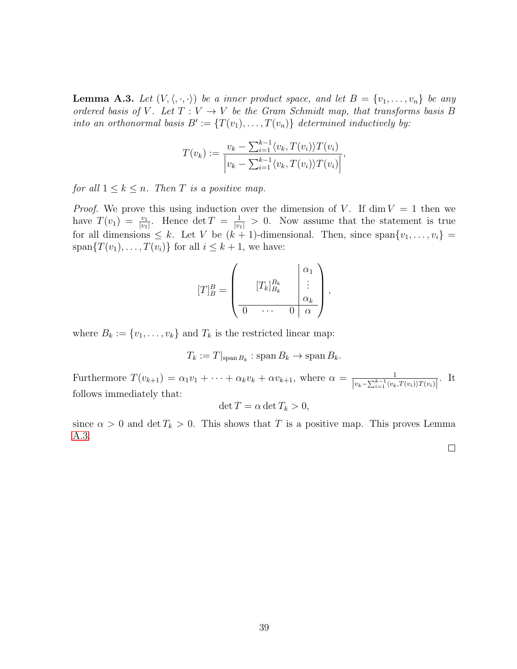**Lemma A.3.** Let  $(V, \langle, \cdot, \cdot \rangle)$  be a inner product space, and let  $B = \{v_1, \ldots, v_n\}$  be any ordered basis of V. Let  $T: V \to V$  be the Gram Schmidt map, that transforms basis B into an orthonormal basis  $B' := \{T(v_1), \ldots, T(v_n)\}\$  determined inductively by:

$$
T(v_k) := \frac{v_k - \sum_{i=1}^{k-1} \langle v_k, T(v_i) \rangle T(v_i)}{\left| v_k - \sum_{i=1}^{k-1} \langle v_k, T(v_i) \rangle T(v_i) \right|},
$$

for all  $1 \leq k \leq n$ . Then T is a positive map.

*Proof.* We prove this using induction over the dimension of V. If  $\dim V = 1$  then we have  $T(v_1) = \frac{v_1}{|v_1|}$ . Hence  $\det T = \frac{1}{|v_1|} > 0$ . Now assume that the statement is true for all dimensions  $\leq k$ . Let V be  $(k + 1)$ -dimensional. Then, since span $\{v_1, \ldots, v_i\}$ span $\{T(v_1), \ldots, T(v_i)\}\$ for all  $i \leq k+1$ , we have:

$$
[T]_B^B = \begin{pmatrix} & & \alpha_1 \\ & [T_k]_{B_k}^{B_k} & \vdots \\ \hline 0 & \cdots & 0 & \alpha \end{pmatrix},
$$

where  $B_k := \{v_1, \ldots, v_k\}$  and  $T_k$  is the restricted linear map:

$$
T_k := T|_{\text{span }B_k} : \text{span }B_k \to \text{span }B_k.
$$

Furthermore  $T(v_{k+1}) = \alpha_1v_1 + \cdots + \alpha_kv_k + \alpha v_{k+1}$ , where  $\alpha = \frac{1}{|v_k - \sum_{k=1}^{k-1} \alpha_k|}$  $\frac{1}{|v_k-\sum_{i=1}^{k-1}\langle v_k,T(v_i)\rangle T(v_i)|}$ . It follows immediately that:

$$
\det T = \alpha \det T_k > 0,
$$

since  $\alpha > 0$  and det  $T_k > 0$ . This shows that T is a positive map. This proves Lemma [A.3.](#page-41-3)

 $\Box$